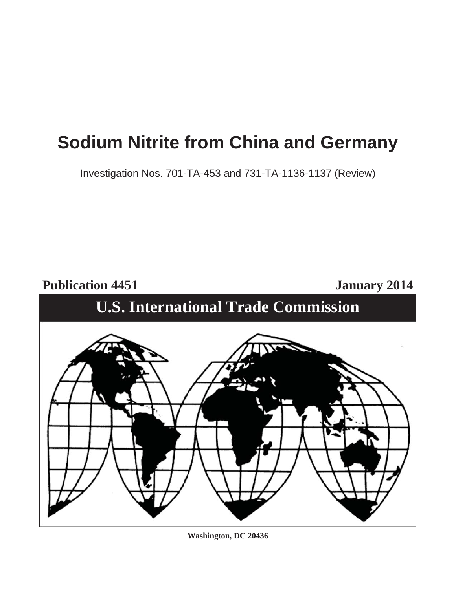# **Sodium Nitrite from China and Germany**

Investigation Nos. 701-TA-453 and 731-TA-1136-1137 (Review)

Publication 4451 January 2014

# **U.S. International Trade Commission**



**Washington, DC 20436**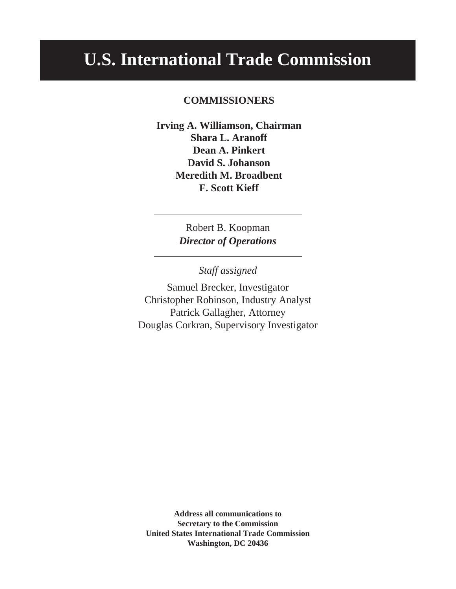# **U.S. International Trade Commission**

# **COMMISSIONERS**

**Irving A. Williamson, Chairman Shara L. Aranoff Dean A. Pinkert David S. Johanson Meredith M. Broadbent F. Scott Kieff**

> Robert B. Koopman *Director of Operations*

> > *Staff assigned*

Samuel Brecker, Investigator Christopher Robinson, Industry Analyst Patrick Gallagher, Attorney Douglas Corkran, Supervisory Investigator

**Address all communications to Secretary to the Commission United States International Trade Commission Washington, DC 20436**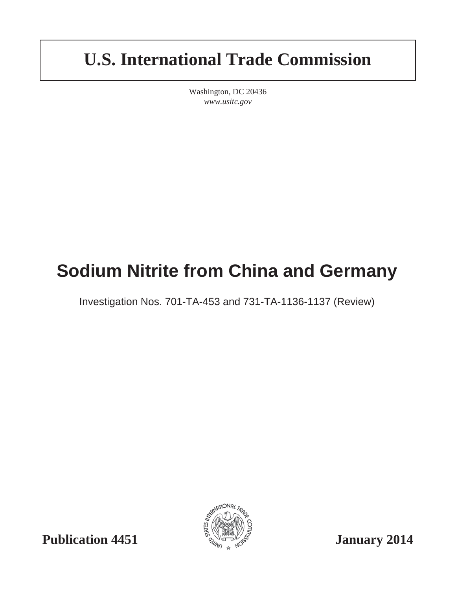# **U.S. International Trade Commission**

Washington, DC 20436 *www.usitc.gov*

# **Sodium Nitrite from China and Germany**

Investigation Nos. 701-TA-453 and 731-TA-1136-1137 (Review)



**Publication 4451**  $\frac{1}{2}$   $\frac{1}{2}$   $\frac{1}{2}$   $\frac{1}{2}$   $\frac{1}{2}$   $\frac{1}{2}$   $\frac{1}{2}$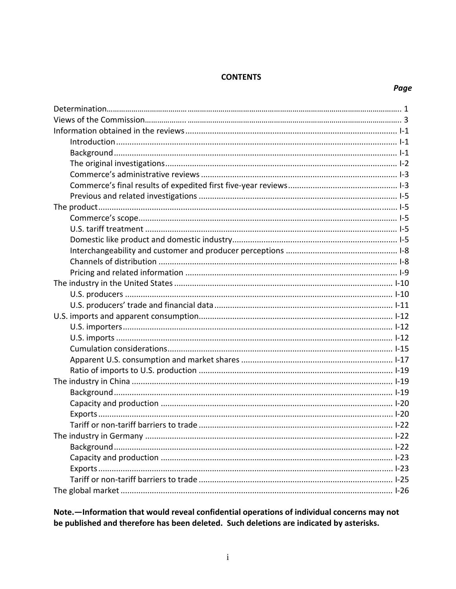### **CONTENTS**

# Page

Note. - Information that would reveal confidential operations of individual concerns may not be published and therefore has been deleted. Such deletions are indicated by asterisks.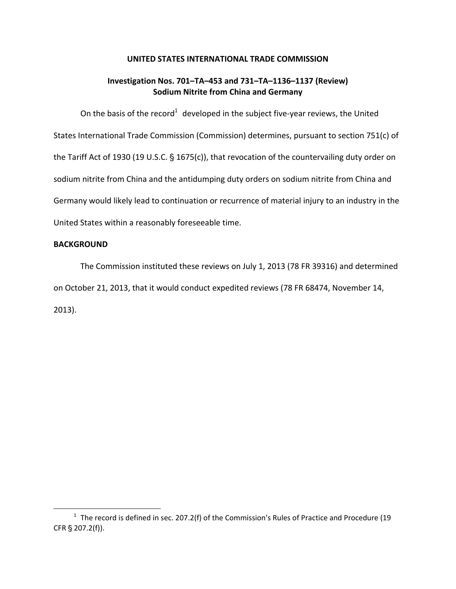#### **UNITED STATES INTERNATIONAL TRADE COMMISSION**

# **Investigation Nos. 701–TA–453 and 731–TA–1136–1137 (Review) Sodium Nitrite from China and Germany**

On the basis of the record<sup>1</sup> developed in the subject five-year reviews, the United States International Trade Commission (Commission) determines, pursuant to section 751(c) of the Tariff Act of 1930 (19 U.S.C.  $\S$  1675(c)), that revocation of the countervailing duty order on sodium nitrite from China and the antidumping duty orders on sodium nitrite from China and Germany would likely lead to continuation or recurrence of material injury to an industry in the United States within a reasonably foreseeable time.

### **BACKGROUND**

 $\overline{a}$ 

The Commission instituted these reviews on July 1, 2013 (78 FR 39316) and determined on October 21, 2013, that it would conduct expedited reviews (78 FR 68474, November 14, 2013).

 $1$  The record is defined in sec. 207.2(f) of the Commission's Rules of Practice and Procedure (19 CFR § 207.2(f)).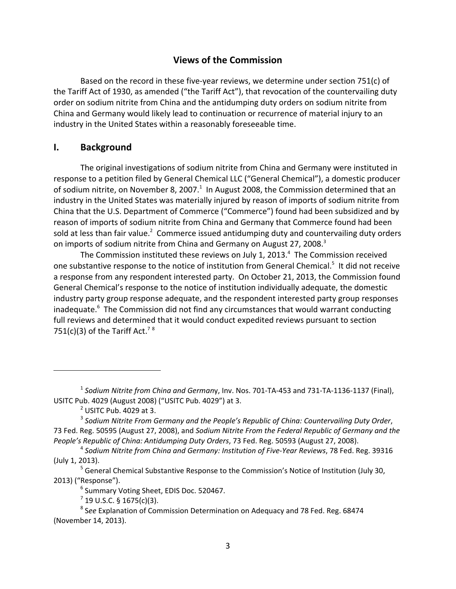# **Views of the Commission**

Based on the record in these five-year reviews, we determine under section 751 $(c)$  of the Tariff Act of 1930, as amended ("the Tariff Act"), that revocation of the countervailing duty order on sodium nitrite from China and the antidumping duty orders on sodium nitrite from China and Germany would likely lead to continuation or recurrence of material injury to an industry in the United States within a reasonably foreseeable time.

## **I. Background**

The original investigations of sodium nitrite from China and Germany were instituted in response to a petition filed by General Chemical LLC ("General Chemical"), a domestic producer of sodium nitrite, on November 8, 2007. $^1$  In August 2008, the Commission determined that an industry in the United States was materially injured by reason of imports of sodium nitrite from China that the U.S. Department of Commerce ("Commerce") found had been subsidized and by reason of imports of sodium nitrite from China and Germany that Commerce found had been sold at less than fair value.<sup>2</sup> Commerce issued antidumping duty and countervailing duty orders on imports of sodium nitrite from China and Germany on August 27, 2008.<sup>3</sup>

The Commission instituted these reviews on July 1, 2013. $^4$  The Commission received one substantive response to the notice of institution from General Chemical.<sup>5</sup> It did not receive a response from any respondent interested party. On October 21, 2013, the Commission found General Chemical's response to the notice of institution individually adequate, the domestic industry party group response adequate, and the respondent interested party group responses inadequate.<sup>6</sup> The Commission did not find any circumstances that would warrant conducting full reviews and determined that it would conduct expedited reviews pursuant to section 751(c)(3) of the Tariff Act.<sup>78</sup>

<sup>1</sup> *Sodium Nitrite from China and German*y, Inv. Nos. 701‐TA‐453 and 731‐TA‐1136‐1137 (Final), USITC Pub. 4029 (August 2008) ("USITC Pub. 4029") at 3.

 $<sup>2</sup>$  USITC Pub. 4029 at 3.</sup>

<sup>3</sup> *Sodium Nitrite From Germany and the People's Republic of China: Countervailing Duty Order*, 73 Fed. Reg. 50595 (August 27, 2008), and *Sodium Nitrite From the Federal Republic of Germany and the People's Republic of China: Antidumping Duty Orders*, 73 Fed. Reg. 50593 (August 27, 2008).

<sup>4</sup> *Sodium Nitrite from China and Germany: Institution of Five‐Year Reviews*, 78 Fed. Reg. 39316 (July 1, 2013).

<sup>&</sup>lt;sup>5</sup> General Chemical Substantive Response to the Commission's Notice of Institution (July 30, 2013) ("Response").

<sup>&</sup>lt;sup>6</sup> Summary Voting Sheet, EDIS Doc. 520467.

 $^{7}$  19 U.S.C. § 1675(c)(3).

<sup>8</sup> S*ee* Explanation of Commission Determination on Adequacy and 78 Fed. Reg. 68474 (November 14, 2013).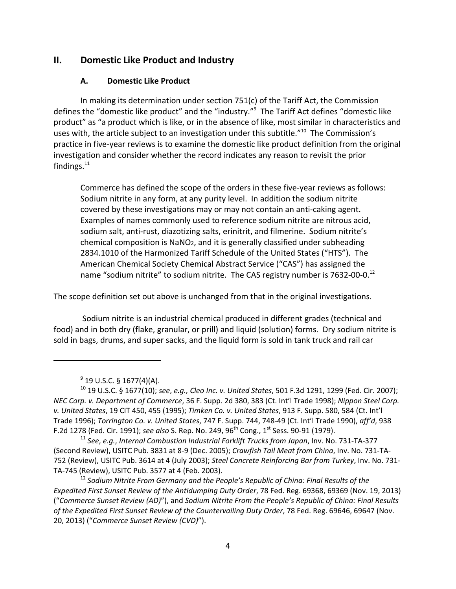# **II. Domestic Like Product and Industry**

## **A. Domestic Like Product**

In making its determination under section 751(c) of the Tariff Act, the Commission defines the "domestic like product" and the "industry."<sup>9</sup> The Tariff Act defines "domestic like product" as "a product which is like, or in the absence of like, most similar in characteristics and uses with, the article subject to an investigation under this subtitle."<sup>10</sup> The Commission's practice in five‐year reviews is to examine the domestic like product definition from the original investigation and consider whether the record indicates any reason to revisit the prior findings. $^{11}$ 

Commerce has defined the scope of the orders in these five‐year reviews as follows: Sodium nitrite in any form, at any purity level. In addition the sodium nitrite covered by these investigations may or may not contain an anti‐caking agent. Examples of names commonly used to reference sodium nitrite are nitrous acid, sodium salt, anti-rust, diazotizing salts, erinitrit, and filmerine. Sodium nitrite's chemical composition is NaNO2, and it is generally classified under subheading 2834.1010 of the Harmonized Tariff Schedule of the United States ("HTS"). The American Chemical Society Chemical Abstract Service ("CAS") has assigned the name "sodium nitrite" to sodium nitrite. The CAS registry number is 7632-00-0.<sup>12</sup>

The scope definition set out above is unchanged from that in the original investigations.

Sodium nitrite is an industrial chemical produced in different grades (technical and food) and in both dry (flake, granular, or prill) and liquid (solution) forms. Dry sodium nitrite is sold in bags, drums, and super sacks, and the liquid form is sold in tank truck and rail car

 $9^9$  19 U.S.C. § 1677(4)(A).

<sup>10</sup> 19 U.S.C. § 1677(10); *see*, *e.g., Cleo Inc. v. United States*, 501 F.3d 1291, 1299 (Fed. Cir. 2007); *NEC Corp. v. Department of Commerce*, 36 F. Supp. 2d 380, 383 (Ct. Int'l Trade 1998); *Nippon Steel Corp. v. United States*, 19 CIT 450, 455 (1995); *Timken Co. v. United States*, 913 F. Supp. 580, 584 (Ct. Int'l Trade 1996); *Torrington Co. v. United States*, 747 F. Supp. 744, 748‐49 (Ct. Int'l Trade 1990), *aff'd*, 938 F.2d 1278 (Fed. Cir. 1991); *see also* S. Rep. No. 249, 96th Cong., 1st Sess. 90‐91 (1979).

<sup>11</sup> *See*, *e.g.*, *Internal Combustion Industrial Forklift Trucks from Japan*, Inv. No. 731‐TA‐377 (Second Review), USITC Pub. 3831 at 8‐9 (Dec. 2005); *Crawfish Tail Meat from China*, Inv. No. 731‐TA‐ 752 (Review), USITC Pub. 3614 at 4 (July 2003); *Steel Concrete Reinforcing Bar from Turkey*, Inv. No. 731‐ TA‐745 (Review), USITC Pub. 3577 at 4 (Feb. 2003).

<sup>12</sup> *Sodium Nitrite From Germany and the People's Republic of China: Final Results of the Expedited First Sunset Review of the Antidumping Duty Order*, 78 Fed. Reg. 69368, 69369 (Nov. 19, 2013) ("*Commerce Sunset Review (AD)*"), and *Sodium Nitrite From the People's Republic of China: Final Results of the Expedited First Sunset Review of the Countervailing Duty Order*, 78 Fed. Reg. 69646, 69647 (Nov. 20, 2013) ("*Commerce Sunset Review (CVD)*").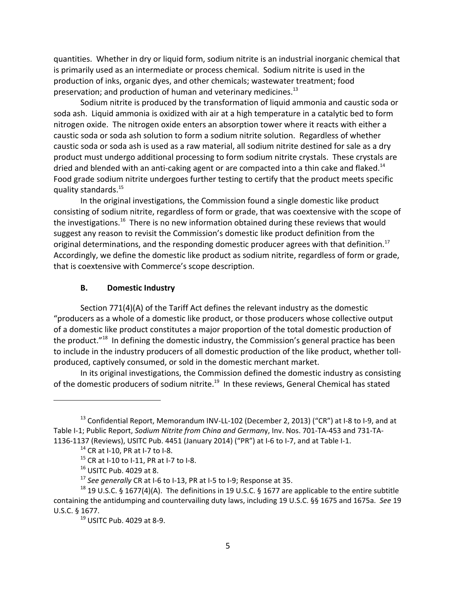quantities. Whether in dry or liquid form, sodium nitrite is an industrial inorganic chemical that is primarily used as an intermediate or process chemical. Sodium nitrite is used in the production of inks, organic dyes, and other chemicals; wastewater treatment; food preservation; and production of human and veterinary medicines.<sup>13</sup>

Sodium nitrite is produced by the transformation of liquid ammonia and caustic soda or soda ash. Liquid ammonia is oxidized with air at a high temperature in a catalytic bed to form nitrogen oxide. The nitrogen oxide enters an absorption tower where it reacts with either a caustic soda or soda ash solution to form a sodium nitrite solution. Regardless of whether caustic soda or soda ash is used as a raw material, all sodium nitrite destined for sale as a dry product must undergo additional processing to form sodium nitrite crystals. These crystals are dried and blended with an anti-caking agent or are compacted into a thin cake and flaked.<sup>14</sup> Food grade sodium nitrite undergoes further testing to certify that the product meets specific quality standards.15

In the original investigations, the Commission found a single domestic like product consisting of sodium nitrite, regardless of form or grade, that was coextensive with the scope of the investigations.<sup>16</sup> There is no new information obtained during these reviews that would suggest any reason to revisit the Commission's domestic like product definition from the original determinations, and the responding domestic producer agrees with that definition.<sup>17</sup> Accordingly, we define the domestic like product as sodium nitrite, regardless of form or grade, that is coextensive with Commerce's scope description.

### **B. Domestic Industry**

Section 771(4)(A) of the Tariff Act defines the relevant industry as the domestic "producers as a whole of a domestic like product, or those producers whose collective output of a domestic like product constitutes a major proportion of the total domestic production of the product."<sup>18</sup> In defining the domestic industry, the Commission's general practice has been to include in the industry producers of all domestic production of the like product, whether toll‐ produced, captively consumed, or sold in the domestic merchant market.

In its original investigations, the Commission defined the domestic industry as consisting of the domestic producers of sodium nitrite.<sup>19</sup> In these reviews, General Chemical has stated

<sup>&</sup>lt;sup>13</sup> Confidential Report, Memorandum INV-LL-102 (December 2, 2013) ("CR") at I-8 to I-9, and at Table I‐1; Public Report, *Sodium Nitrite from China and German*y, Inv. Nos. 701‐TA‐453 and 731‐TA‐ 1136‐1137 (Reviews), USITC Pub. 4451 (January 2014) ("PR") at I‐6 to I‐7, and at Table I‐1.

 $14$  CR at I-10, PR at I-7 to I-8.

 $15$  CR at I-10 to I-11, PR at I-7 to I-8.

<sup>16</sup> USITC Pub. 4029 at 8.

<sup>17</sup> *See generally* CR at I‐6 to I‐13, PR at I‐5 to I‐9; Response at 35.

<sup>&</sup>lt;sup>18</sup> 19 U.S.C. § 1677(4)(A). The definitions in 19 U.S.C. § 1677 are applicable to the entire subtitle containing the antidumping and countervailing duty laws, including 19 U.S.C. §§ 1675 and 1675a. *See* 19 U.S.C. § 1677.

<sup>19</sup> USITC Pub. 4029 at 8‐9.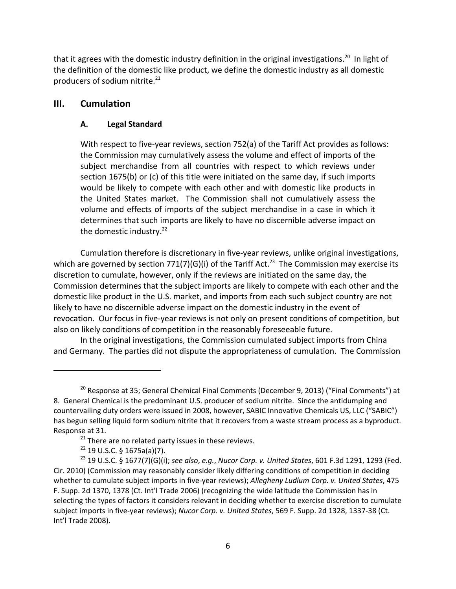that it agrees with the domestic industry definition in the original investigations.<sup>20</sup> In light of the definition of the domestic like product, we define the domestic industry as all domestic producers of sodium nitrite. $21$ 

# **III. Cumulation**

# **A. Legal Standard**

With respect to five-year reviews, section 752(a) of the Tariff Act provides as follows: the Commission may cumulatively assess the volume and effect of imports of the subject merchandise from all countries with respect to which reviews under section 1675(b) or (c) of this title were initiated on the same day, if such imports would be likely to compete with each other and with domestic like products in the United States market. The Commission shall not cumulatively assess the volume and effects of imports of the subject merchandise in a case in which it determines that such imports are likely to have no discernible adverse impact on the domestic industry.<sup>22</sup>

Cumulation therefore is discretionary in five‐year reviews, unlike original investigations, which are governed by section 771(7)(G)(i) of the Tariff Act.<sup>23</sup> The Commission may exercise its discretion to cumulate, however, only if the reviews are initiated on the same day, the Commission determines that the subject imports are likely to compete with each other and the domestic like product in the U.S. market, and imports from each such subject country are not likely to have no discernible adverse impact on the domestic industry in the event of revocation. Our focus in five-year reviews is not only on present conditions of competition, but also on likely conditions of competition in the reasonably foreseeable future.

In the original investigations, the Commission cumulated subject imports from China and Germany. The parties did not dispute the appropriateness of cumulation. The Commission

 $22$  19 U.S.C. § 1675a(a)(7).

<sup>&</sup>lt;sup>20</sup> Response at 35; General Chemical Final Comments (December 9, 2013) ("Final Comments") at 8. General Chemical is the predominant U.S. producer of sodium nitrite. Since the antidumping and countervailing duty orders were issued in 2008, however, SABIC Innovative Chemicals US, LLC ("SABIC") has begun selling liquid form sodium nitrite that it recovers from a waste stream process as a byproduct. Response at 31.

 $21$  There are no related party issues in these reviews.

<sup>23</sup> 19 U.S.C. § 1677(7)(G)(i); *see also*, *e.g.*, *Nucor Corp. v. United States*, 601 F.3d 1291, 1293 (Fed. Cir. 2010) (Commission may reasonably consider likely differing conditions of competition in deciding whether to cumulate subject imports in five‐year reviews); *Allegheny Ludlum Corp. v. United States*, 475 F. Supp. 2d 1370, 1378 (Ct. Int'l Trade 2006) (recognizing the wide latitude the Commission has in selecting the types of factors it considers relevant in deciding whether to exercise discretion to cumulate subject imports in five‐year reviews); *Nucor Corp. v. United States*, 569 F. Supp. 2d 1328, 1337‐38 (Ct. Int'l Trade 2008).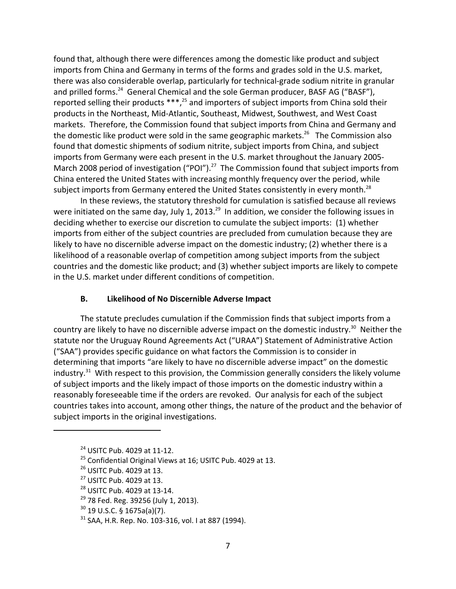found that, although there were differences among the domestic like product and subject imports from China and Germany in terms of the forms and grades sold in the U.S. market, there was also considerable overlap, particularly for technical‐grade sodium nitrite in granular and prilled forms.<sup>24</sup> General Chemical and the sole German producer, BASF AG ("BASF"), reported selling their products  $***$ ,<sup>25</sup> and importers of subject imports from China sold their products in the Northeast, Mid‐Atlantic, Southeast, Midwest, Southwest, and West Coast markets. Therefore, the Commission found that subject imports from China and Germany and the domestic like product were sold in the same geographic markets.<sup>26</sup> The Commission also found that domestic shipments of sodium nitrite, subject imports from China, and subject imports from Germany were each present in the U.S. market throughout the January 2005‐ March 2008 period of investigation ("POI").<sup>27</sup> The Commission found that subject imports from China entered the United States with increasing monthly frequency over the period, while subject imports from Germany entered the United States consistently in every month.<sup>28</sup>

In these reviews, the statutory threshold for cumulation is satisfied because all reviews were initiated on the same day, July 1, 2013.<sup>29</sup> In addition, we consider the following issues in deciding whether to exercise our discretion to cumulate the subject imports: (1) whether imports from either of the subject countries are precluded from cumulation because they are likely to have no discernible adverse impact on the domestic industry; (2) whether there is a likelihood of a reasonable overlap of competition among subject imports from the subject countries and the domestic like product; and (3) whether subject imports are likely to compete in the U.S. market under different conditions of competition.

## **B. Likelihood of No Discernible Adverse Impact**

The statute precludes cumulation if the Commission finds that subject imports from a country are likely to have no discernible adverse impact on the domestic industry.<sup>30</sup> Neither the statute nor the Uruguay Round Agreements Act ("URAA") Statement of Administrative Action ("SAA") provides specific guidance on what factors the Commission is to consider in determining that imports "are likely to have no discernible adverse impact" on the domestic industry. $31$  With respect to this provision, the Commission generally considers the likely volume of subject imports and the likely impact of those imports on the domestic industry within a reasonably foreseeable time if the orders are revoked. Our analysis for each of the subject countries takes into account, among other things, the nature of the product and the behavior of subject imports in the original investigations.

<sup>24</sup> USITC Pub. 4029 at 11‐12.

<sup>&</sup>lt;sup>25</sup> Confidential Original Views at 16; USITC Pub. 4029 at 13.

<sup>26</sup> USITC Pub. 4029 at 13.

<sup>27</sup> USITC Pub. 4029 at 13.

<sup>28</sup> USITC Pub. 4029 at 13‐14.

 $29$  78 Fed. Reg. 39256 (July 1, 2013).

 $30$  19 U.S.C. § 1675a(a)(7).

<sup>31</sup> SAA, H.R. Rep. No. 103‐316, vol. I at 887 (1994).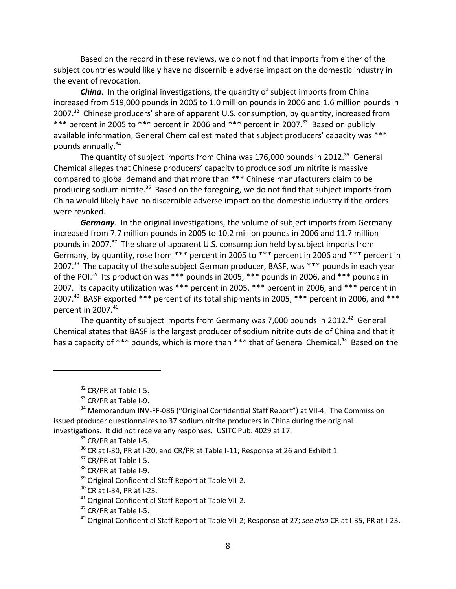Based on the record in these reviews, we do not find that imports from either of the subject countries would likely have no discernible adverse impact on the domestic industry in the event of revocation.

*China*. In the original investigations, the quantity of subject imports from China increased from 519,000 pounds in 2005 to 1.0 million pounds in 2006 and 1.6 million pounds in 2007.<sup>32</sup> Chinese producers' share of apparent U.S. consumption, by quantity, increased from \*\*\* percent in 2005 to \*\*\* percent in 2006 and \*\*\* percent in 2007.<sup>33</sup> Based on publicly available information, General Chemical estimated that subject producers' capacity was \*\*\* pounds annually.<sup>34</sup>

The quantity of subject imports from China was  $176,000$  pounds in 2012.<sup>35</sup> General Chemical alleges that Chinese producers' capacity to produce sodium nitrite is massive compared to global demand and that more than \*\*\* Chinese manufacturers claim to be producing sodium nitrite.<sup>36</sup> Based on the foregoing, we do not find that subject imports from China would likely have no discernible adverse impact on the domestic industry if the orders were revoked.

*Germany*. In the original investigations, the volume of subject imports from Germany increased from 7.7 million pounds in 2005 to 10.2 million pounds in 2006 and 11.7 million pounds in 2007.<sup>37</sup> The share of apparent U.S. consumption held by subject imports from Germany, by quantity, rose from \*\*\* percent in 2005 to \*\*\* percent in 2006 and \*\*\* percent in 2007.<sup>38</sup> The capacity of the sole subject German producer, BASF, was \*\*\* pounds in each year of the POI.<sup>39</sup> Its production was \*\*\* pounds in 2005, \*\*\* pounds in 2006, and \*\*\* pounds in 2007. Its capacity utilization was \*\*\* percent in 2005, \*\*\* percent in 2006, and \*\*\* percent in 2007.<sup>40</sup> BASF exported \*\*\* percent of its total shipments in 2005, \*\*\* percent in 2006, and \*\*\* percent in 2007.<sup>41</sup>

The quantity of subject imports from Germany was 7,000 pounds in 2012. $42$  General Chemical states that BASF is the largest producer of sodium nitrite outside of China and that it has a capacity of \*\*\* pounds, which is more than \*\*\* that of General Chemical.<sup>43</sup> Based on the

 $32$  CR/PR at Table I-5.

 $33$  CR/PR at Table I-9.

<sup>&</sup>lt;sup>34</sup> Memorandum INV-FF-086 ("Original Confidential Staff Report") at VII-4. The Commission issued producer questionnaires to 37 sodium nitrite producers in China during the original investigations. It did not receive any responses. USITC Pub. 4029 at 17.

 $35$  CR/PR at Table I-5.

 $36$  CR at I-30, PR at I-20, and CR/PR at Table I-11; Response at 26 and Exhibit 1.

 $37$  CR/PR at Table I-5.

<sup>38</sup> CR/PR at Table I-9.

<sup>&</sup>lt;sup>39</sup> Original Confidential Staff Report at Table VII-2.

<sup>40</sup> CR at I‐34, PR at I‐23.

<sup>41</sup> Original Confidential Staff Report at Table VII‐2.

 $42$  CR/PR at Table I-5.

<sup>43</sup> Original Confidential Staff Report at Table VII‐2; Response at 27; *see also* CR at I‐35, PR at I‐23.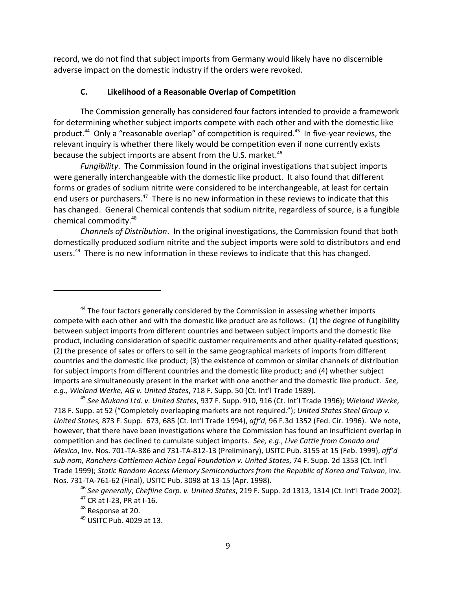record, we do not find that subject imports from Germany would likely have no discernible adverse impact on the domestic industry if the orders were revoked.

#### **C. Likelihood of a Reasonable Overlap of Competition**

The Commission generally has considered four factors intended to provide a framework for determining whether subject imports compete with each other and with the domestic like product.<sup>44</sup> Only a "reasonable overlap" of competition is required.<sup>45</sup> In five-year reviews, the relevant inquiry is whether there likely would be competition even if none currently exists because the subject imports are absent from the U.S. market.<sup>46</sup>

*Fungibility*. The Commission found in the original investigations that subject imports were generally interchangeable with the domestic like product. It also found that different forms or grades of sodium nitrite were considered to be interchangeable, at least for certain end users or purchasers.<sup>47</sup> There is no new information in these reviews to indicate that this has changed. General Chemical contends that sodium nitrite, regardless of source, is a fungible chemical commodity.48

*Channels of Distribution*. In the original investigations, the Commission found that both domestically produced sodium nitrite and the subject imports were sold to distributors and end users.<sup>49</sup> There is no new information in these reviews to indicate that this has changed.

<sup>44</sup> The four factors generally considered by the Commission in assessing whether imports compete with each other and with the domestic like product are as follows: (1) the degree of fungibility between subject imports from different countries and between subject imports and the domestic like product, including consideration of specific customer requirements and other quality-related questions; (2) the presence of sales or offers to sell in the same geographical markets of imports from different countries and the domestic like product; (3) the existence of common or similar channels of distribution for subject imports from different countries and the domestic like product; and (4) whether subject imports are simultaneously present in the market with one another and the domestic like product. *See, e.g., Wieland Werke, AG v. United States*, 718 F. Supp. 50 (Ct. Int'l Trade 1989).

<sup>45</sup> *See Mukand Ltd. v. United States*, 937 F. Supp. 910, 916 (Ct. Int'l Trade 1996); *Wieland Werke,* 718 F. Supp. at 52 ("Completely overlapping markets are not required."); *United States Steel Group v. United States,* 873 F. Supp. 673, 685 (Ct. Int'l Trade 1994), *aff'd*, 96 F.3d 1352 (Fed. Cir. 1996). We note, however, that there have been investigations where the Commission has found an insufficient overlap in competition and has declined to cumulate subject imports. *See, e.g*., *Live Cattle from Canada and Mexico*, Inv. Nos. 701‐TA‐386 and 731‐TA‐812‐13 (Preliminary), USITC Pub. 3155 at 15 (Feb. 1999), *aff'd sub nom, Ranchers‐Cattlemen Action Legal Foundation v. United States*, 74 F. Supp. 2d 1353 (Ct. Int'l Trade 1999); *Static Random Access Memory Semiconductors from the Republic of Korea and Taiwan*, Inv. Nos. 731‐TA‐761‐62 (Final), USITC Pub. 3098 at 13‐15 (Apr. 1998).

<sup>46</sup> *See generally*, *Chefline Corp. v. United States*, 219 F. Supp. 2d 1313, 1314 (Ct. Int'l Trade 2002).  $47$  CR at I-23, PR at I-16.

<sup>48</sup> Response at 20.

<sup>49</sup> USITC Pub. 4029 at 13.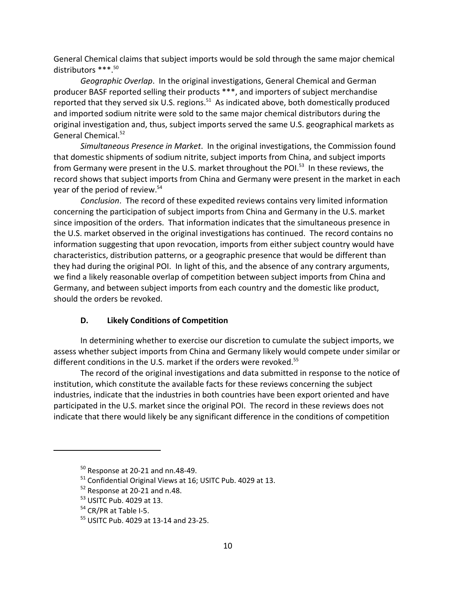General Chemical claims that subject imports would be sold through the same major chemical distributors \*\*\*.50

*Geographic Overlap*. In the original investigations, General Chemical and German producer BASF reported selling their products \*\*\*, and importers of subject merchandise reported that they served six U.S. regions. $51$  As indicated above, both domestically produced and imported sodium nitrite were sold to the same major chemical distributors during the original investigation and, thus, subject imports served the same U.S. geographical markets as General Chemical.<sup>52</sup>

*Simultaneous Presence in Market*. In the original investigations, the Commission found that domestic shipments of sodium nitrite, subject imports from China, and subject imports from Germany were present in the U.S. market throughout the POI.<sup>53</sup> In these reviews, the record shows that subject imports from China and Germany were present in the market in each year of the period of review.<sup>54</sup>

*Conclusion*. The record of these expedited reviews contains very limited information concerning the participation of subject imports from China and Germany in the U.S. market since imposition of the orders. That information indicates that the simultaneous presence in the U.S. market observed in the original investigations has continued. The record contains no information suggesting that upon revocation, imports from either subject country would have characteristics, distribution patterns, or a geographic presence that would be different than they had during the original POI. In light of this, and the absence of any contrary arguments, we find a likely reasonable overlap of competition between subject imports from China and Germany, and between subject imports from each country and the domestic like product, should the orders be revoked.

## **D. Likely Conditions of Competition**

In determining whether to exercise our discretion to cumulate the subject imports, we assess whether subject imports from China and Germany likely would compete under similar or different conditions in the U.S. market if the orders were revoked.<sup>55</sup>

The record of the original investigations and data submitted in response to the notice of institution, which constitute the available facts for these reviews concerning the subject industries, indicate that the industries in both countries have been export oriented and have participated in the U.S. market since the original POI. The record in these reviews does not indicate that there would likely be any significant difference in the conditions of competition

<sup>50</sup> Response at 20‐21 and nn.48‐49.

<sup>51</sup> Confidential Original Views at 16; USITC Pub. 4029 at 13.

 $52$  Response at 20-21 and n.48.

 $53$  USITC Pub. 4029 at 13.

 $54$  CR/PR at Table I-5.

<sup>55</sup> USITC Pub. 4029 at 13‐14 and 23‐25.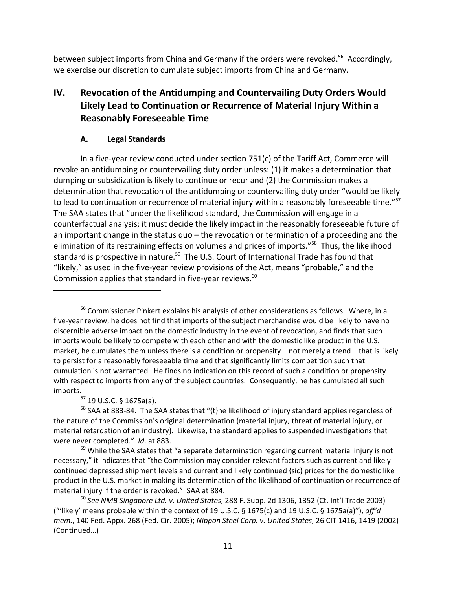between subject imports from China and Germany if the orders were revoked.<sup>56</sup> Accordingly, we exercise our discretion to cumulate subject imports from China and Germany.

# **IV. Revocation of the Antidumping and Countervailing Duty Orders Would Likely Lead to Continuation or Recurrence of Material Injury Within a Reasonably Foreseeable Time**

# **A. Legal Standards**

In a five‐year review conducted under section 751(c) of the Tariff Act, Commerce will revoke an antidumping or countervailing duty order unless: (1) it makes a determination that dumping or subsidization is likely to continue or recur and (2) the Commission makes a determination that revocation of the antidumping or countervailing duty order "would be likely to lead to continuation or recurrence of material injury within a reasonably foreseeable time."<sup>57</sup> The SAA states that "under the likelihood standard, the Commission will engage in a counterfactual analysis; it must decide the likely impact in the reasonably foreseeable future of an important change in the status quo – the revocation or termination of a proceeding and the elimination of its restraining effects on volumes and prices of imports."<sup>58</sup> Thus, the likelihood standard is prospective in nature.<sup>59</sup> The U.S. Court of International Trade has found that "likely," as used in the five‐year review provisions of the Act, means "probable," and the Commission applies that standard in five-year reviews.<sup>60</sup>

 $57$  19 U.S.C. § 1675a(a).

<sup>&</sup>lt;sup>56</sup> Commissioner Pinkert explains his analysis of other considerations as follows. Where, in a five‐year review, he does not find that imports of the subject merchandise would be likely to have no discernible adverse impact on the domestic industry in the event of revocation, and finds that such imports would be likely to compete with each other and with the domestic like product in the U.S. market, he cumulates them unless there is a condition or propensity – not merely a trend – that is likely to persist for a reasonably foreseeable time and that significantly limits competition such that cumulation is not warranted. He finds no indication on this record of such a condition or propensity with respect to imports from any of the subject countries. Consequently, he has cumulated all such imports.

<sup>&</sup>lt;sup>58</sup> SAA at 883-84. The SAA states that "{t}he likelihood of injury standard applies regardless of the nature of the Commission's original determination (material injury, threat of material injury, or material retardation of an industry). Likewise, the standard applies to suspended investigations that were never completed." *Id*. at 883.

<sup>&</sup>lt;sup>59</sup> While the SAA states that "a separate determination regarding current material injury is not necessary," it indicates that "the Commission may consider relevant factors such as current and likely continued depressed shipment levels and current and likely continued {sic} prices for the domestic like product in the U.S. market in making its determination of the likelihood of continuation or recurrence of material injury if the order is revoked." SAA at 884.

<sup>60</sup> *See NMB Singapore Ltd. v. United States*, 288 F. Supp. 2d 1306, 1352 (Ct. Int'l Trade 2003) ("'likely' means probable within the context of 19 U.S.C. § 1675(c) and 19 U.S.C. § 1675a(a)"), *aff'd mem.*, 140 Fed. Appx. 268 (Fed. Cir. 2005); *Nippon Steel Corp. v. United States*, 26 CIT 1416, 1419 (2002) (Continued…)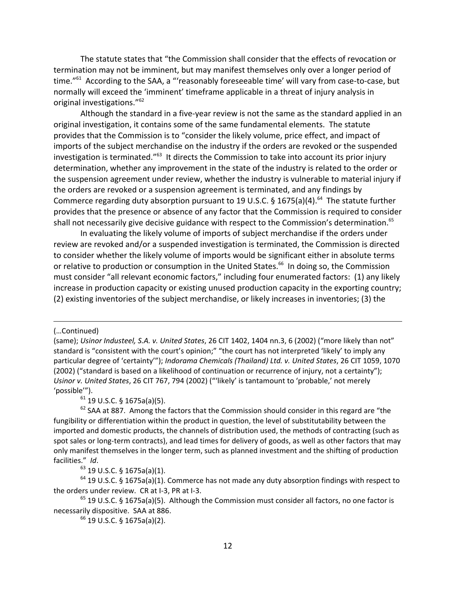The statute states that "the Commission shall consider that the effects of revocation or termination may not be imminent, but may manifest themselves only over a longer period of time."<sup>61</sup> According to the SAA, a "'reasonably foreseeable time' will vary from case-to-case, but normally will exceed the 'imminent' timeframe applicable in a threat of injury analysis in original investigations."<sup>62</sup>

Although the standard in a five‐year review is not the same as the standard applied in an original investigation, it contains some of the same fundamental elements. The statute provides that the Commission is to "consider the likely volume, price effect, and impact of imports of the subject merchandise on the industry if the orders are revoked or the suspended investigation is terminated."<sup>63</sup> It directs the Commission to take into account its prior injury determination, whether any improvement in the state of the industry is related to the order or the suspension agreement under review, whether the industry is vulnerable to material injury if the orders are revoked or a suspension agreement is terminated, and any findings by Commerce regarding duty absorption pursuant to 19 U.S.C. § 1675(a)(4).<sup>64</sup> The statute further provides that the presence or absence of any factor that the Commission is required to consider shall not necessarily give decisive guidance with respect to the Commission's determination.<sup>65</sup>

In evaluating the likely volume of imports of subject merchandise if the orders under review are revoked and/or a suspended investigation is terminated, the Commission is directed to consider whether the likely volume of imports would be significant either in absolute terms or relative to production or consumption in the United States.<sup>66</sup> In doing so, the Commission must consider "all relevant economic factors," including four enumerated factors: (1) any likely increase in production capacity or existing unused production capacity in the exporting country; (2) existing inventories of the subject merchandise, or likely increases in inventories; (3) the

(…Continued)

<u> 1989 - Johann Stein, marwolaethau a cyfeiliad y cyfeiliad a gynydd a gynydd a gynydd a gynydd a gynydd a gyn</u>

 $61$  19 U.S.C. § 1675a(a)(5).

 $62$  SAA at 887. Among the factors that the Commission should consider in this regard are "the fungibility or differentiation within the product in question, the level of substitutability between the imported and domestic products, the channels of distribution used, the methods of contracting (such as spot sales or long-term contracts), and lead times for delivery of goods, as well as other factors that may only manifest themselves in the longer term, such as planned investment and the shifting of production facilities." *Id*.

<sup>63</sup> 19 U.S.C. § 1675a(a)(1).

 $64$  19 U.S.C. § 1675a(a)(1). Commerce has not made any duty absorption findings with respect to the orders under review. CR at I‐3, PR at I‐3.

 $<sup>65</sup>$  19 U.S.C. § 1675a(a)(5). Although the Commission must consider all factors, no one factor is</sup> necessarily dispositive. SAA at 886.

 $66$  19 U.S.C. § 1675a(a)(2).

<sup>(</sup>same); *Usinor Industeel, S.A. v. United States*, 26 CIT 1402, 1404 nn.3, 6 (2002) ("more likely than not" standard is "consistent with the court's opinion;" "the court has not interpreted 'likely' to imply any particular degree of 'certainty'"); *Indorama Chemicals (Thailand) Ltd. v. United States*, 26 CIT 1059, 1070 (2002) ("standard is based on a likelihood of continuation or recurrence of injury, not a certainty"); *Usinor v. United States*, 26 CIT 767, 794 (2002) ("'likely' is tantamount to 'probable,' not merely 'possible'").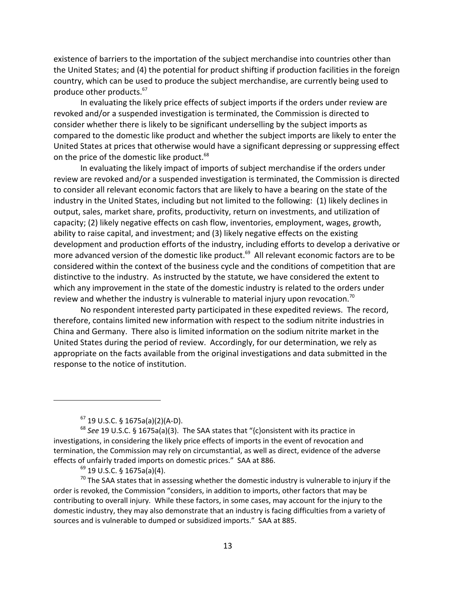existence of barriers to the importation of the subject merchandise into countries other than the United States; and (4) the potential for product shifting if production facilities in the foreign country, which can be used to produce the subject merchandise, are currently being used to produce other products.<sup>67</sup>

In evaluating the likely price effects of subject imports if the orders under review are revoked and/or a suspended investigation is terminated, the Commission is directed to consider whether there is likely to be significant underselling by the subject imports as compared to the domestic like product and whether the subject imports are likely to enter the United States at prices that otherwise would have a significant depressing or suppressing effect on the price of the domestic like product.<sup>68</sup>

In evaluating the likely impact of imports of subject merchandise if the orders under review are revoked and/or a suspended investigation is terminated, the Commission is directed to consider all relevant economic factors that are likely to have a bearing on the state of the industry in the United States, including but not limited to the following: (1) likely declines in output, sales, market share, profits, productivity, return on investments, and utilization of capacity; (2) likely negative effects on cash flow, inventories, employment, wages, growth, ability to raise capital, and investment; and (3) likely negative effects on the existing development and production efforts of the industry, including efforts to develop a derivative or more advanced version of the domestic like product.<sup>69</sup> All relevant economic factors are to be considered within the context of the business cycle and the conditions of competition that are distinctive to the industry. As instructed by the statute, we have considered the extent to which any improvement in the state of the domestic industry is related to the orders under review and whether the industry is vulnerable to material injury upon revocation.<sup>70</sup>

No respondent interested party participated in these expedited reviews. The record, therefore, contains limited new information with respect to the sodium nitrite industries in China and Germany. There also is limited information on the sodium nitrite market in the United States during the period of review. Accordingly, for our determination, we rely as appropriate on the facts available from the original investigations and data submitted in the response to the notice of institution.

 $67$  19 U.S.C. § 1675a(a)(2)(A-D).

<sup>68</sup> *See* 19 U.S.C. § 1675a(a)(3). The SAA states that "{c}onsistent with its practice in investigations, in considering the likely price effects of imports in the event of revocation and termination, the Commission may rely on circumstantial, as well as direct, evidence of the adverse effects of unfairly traded imports on domestic prices." SAA at 886.

 $69$  19 U.S.C. § 1675a(a)(4).

 $70$  The SAA states that in assessing whether the domestic industry is vulnerable to injury if the order is revoked, the Commission "considers, in addition to imports, other factors that may be contributing to overall injury. While these factors, in some cases, may account for the injury to the domestic industry, they may also demonstrate that an industry is facing difficulties from a variety of sources and is vulnerable to dumped or subsidized imports." SAA at 885.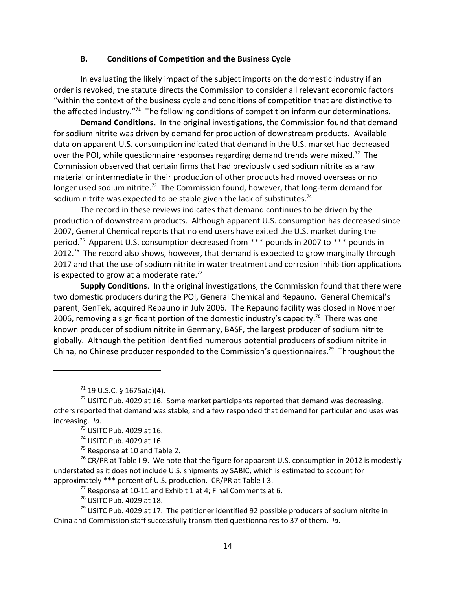#### **B. Conditions of Competition and the Business Cycle**

In evaluating the likely impact of the subject imports on the domestic industry if an order is revoked, the statute directs the Commission to consider all relevant economic factors "within the context of the business cycle and conditions of competition that are distinctive to the affected industry. $171$  The following conditions of competition inform our determinations.

**Demand Conditions.** In the original investigations, the Commission found that demand for sodium nitrite was driven by demand for production of downstream products. Available data on apparent U.S. consumption indicated that demand in the U.S. market had decreased over the POI, while questionnaire responses regarding demand trends were mixed.<sup>72</sup> The Commission observed that certain firms that had previously used sodium nitrite as a raw material or intermediate in their production of other products had moved overseas or no longer used sodium nitrite.<sup>73</sup> The Commission found, however, that long-term demand for sodium nitrite was expected to be stable given the lack of substitutes.<sup>74</sup>

The record in these reviews indicates that demand continues to be driven by the production of downstream products. Although apparent U.S. consumption has decreased since 2007, General Chemical reports that no end users have exited the U.S. market during the period.<sup>75</sup> Apparent U.S. consumption decreased from \*\*\* pounds in 2007 to \*\*\* pounds in  $2012.^{76}$  The record also shows, however, that demand is expected to grow marginally through 2017 and that the use of sodium nitrite in water treatment and corrosion inhibition applications is expected to grow at a moderate rate.<sup>77</sup>

**Supply Conditions**. In the original investigations, the Commission found that there were two domestic producers during the POI, General Chemical and Repauno. General Chemical's parent, GenTek, acquired Repauno in July 2006. The Repauno facility was closed in November 2006, removing a significant portion of the domestic industry's capacity.<sup>78</sup> There was one known producer of sodium nitrite in Germany, BASF, the largest producer of sodium nitrite globally. Although the petition identified numerous potential producers of sodium nitrite in China, no Chinese producer responded to the Commission's questionnaires.<sup>79</sup> Throughout the

 $^{71}$  19 U.S.C. § 1675a(a)(4).

 $75$  Response at 10 and Table 2.

 $76$  CR/PR at Table I-9. We note that the figure for apparent U.S. consumption in 2012 is modestly understated as it does not include U.S. shipments by SABIC, which is estimated to account for approximately \*\*\* percent of U.S. production. CR/PR at Table I‐3.

 $^{77}$  Response at 10-11 and Exhibit 1 at 4; Final Comments at 6.

<sup>78</sup> USITC Pub. 4029 at 18.

 $79$  USITC Pub. 4029 at 17. The petitioner identified 92 possible producers of sodium nitrite in China and Commission staff successfully transmitted questionnaires to 37 of them. *Id*.

 $<sup>72</sup>$  USITC Pub. 4029 at 16. Some market participants reported that demand was decreasing,</sup> others reported that demand was stable, and a few responded that demand for particular end uses was increasing. *Id*.

 $73$  USITC Pub. 4029 at 16.

<sup>74</sup> USITC Pub. 4029 at 16.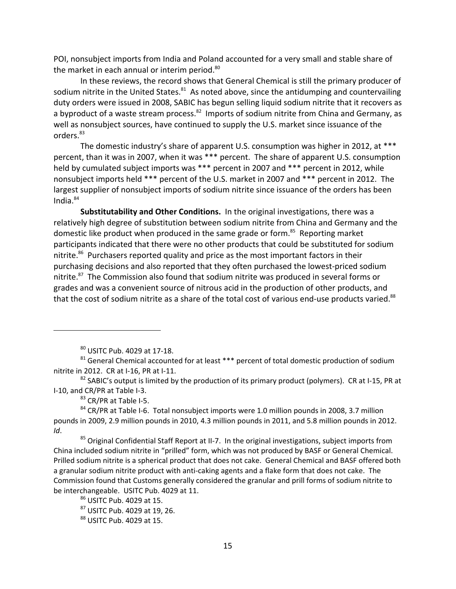POI, nonsubject imports from India and Poland accounted for a very small and stable share of the market in each annual or interim period.<sup>80</sup>

In these reviews, the record shows that General Chemical is still the primary producer of sodium nitrite in the United States. $81$  As noted above, since the antidumping and countervailing duty orders were issued in 2008, SABIC has begun selling liquid sodium nitrite that it recovers as a byproduct of a waste stream process.<sup>82</sup> Imports of sodium nitrite from China and Germany, as well as nonsubject sources, have continued to supply the U.S. market since issuance of the orders.<sup>83</sup>

The domestic industry's share of apparent U.S. consumption was higher in 2012, at \*\*\* percent, than it was in 2007, when it was \*\*\* percent. The share of apparent U.S. consumption held by cumulated subject imports was \*\*\* percent in 2007 and \*\*\* percent in 2012, while nonsubject imports held \*\*\* percent of the U.S. market in 2007 and \*\*\* percent in 2012. The largest supplier of nonsubject imports of sodium nitrite since issuance of the orders has been India. $84$ 

**Substitutability and Other Conditions.** In the original investigations, there was a relatively high degree of substitution between sodium nitrite from China and Germany and the domestic like product when produced in the same grade or form.<sup>85</sup> Reporting market participants indicated that there were no other products that could be substituted for sodium nitrite.<sup>86</sup> Purchasers reported quality and price as the most important factors in their purchasing decisions and also reported that they often purchased the lowest-priced sodium nitrite.<sup>87</sup> The Commission also found that sodium nitrite was produced in several forms or grades and was a convenient source of nitrous acid in the production of other products, and that the cost of sodium nitrite as a share of the total cost of various end-use products varied.<sup>88</sup>

 $83$  CR/PR at Table I-5.

 $86$  USITC Pub. 4029 at 15.

<sup>80</sup> USITC Pub. 4029 at 17‐18.

 $81$  General Chemical accounted for at least  $***$  percent of total domestic production of sodium nitrite in 2012. CR at I‐16, PR at I‐11.

 $82$  SABIC's output is limited by the production of its primary product (polymers). CR at I-15, PR at I‐10, and CR/PR at Table I‐3.

 $84$  CR/PR at Table I-6. Total nonsubject imports were 1.0 million pounds in 2008, 3.7 million pounds in 2009, 2.9 million pounds in 2010, 4.3 million pounds in 2011, and 5.8 million pounds in 2012. *Id*.

<sup>&</sup>lt;sup>85</sup> Original Confidential Staff Report at II-7. In the original investigations, subject imports from China included sodium nitrite in "prilled" form, which was not produced by BASF or General Chemical. Prilled sodium nitrite is a spherical product that does not cake. General Chemical and BASF offered both a granular sodium nitrite product with anti‐caking agents and a flake form that does not cake. The Commission found that Customs generally considered the granular and prill forms of sodium nitrite to be interchangeable. USITC Pub. 4029 at 11.

<sup>87</sup> USITC Pub. 4029 at 19, 26.

<sup>88</sup> USITC Pub. 4029 at 15.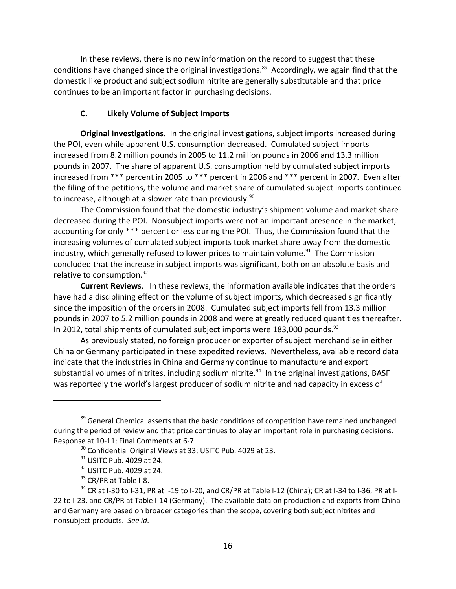In these reviews, there is no new information on the record to suggest that these conditions have changed since the original investigations.<sup>89</sup> Accordingly, we again find that the domestic like product and subject sodium nitrite are generally substitutable and that price continues to be an important factor in purchasing decisions.

## **C. Likely Volume of Subject Imports**

**Original Investigations.** In the original investigations, subject imports increased during the POI, even while apparent U.S. consumption decreased. Cumulated subject imports increased from 8.2 million pounds in 2005 to 11.2 million pounds in 2006 and 13.3 million pounds in 2007. The share of apparent U.S. consumption held by cumulated subject imports increased from \*\*\* percent in 2005 to \*\*\* percent in 2006 and \*\*\* percent in 2007. Even after the filing of the petitions, the volume and market share of cumulated subject imports continued to increase, although at a slower rate than previously. $90$ 

The Commission found that the domestic industry's shipment volume and market share decreased during the POI. Nonsubject imports were not an important presence in the market, accounting for only \*\*\* percent or less during the POI. Thus, the Commission found that the increasing volumes of cumulated subject imports took market share away from the domestic industry, which generally refused to lower prices to maintain volume. $91$  The Commission concluded that the increase in subject imports was significant, both on an absolute basis and relative to consumption.<sup>92</sup>

**Current Reviews**. In these reviews, the information available indicates that the orders have had a disciplining effect on the volume of subject imports, which decreased significantly since the imposition of the orders in 2008. Cumulated subject imports fell from 13.3 million pounds in 2007 to 5.2 million pounds in 2008 and were at greatly reduced quantities thereafter. In 2012, total shipments of cumulated subject imports were 183,000 pounds.<sup>93</sup>

As previously stated, no foreign producer or exporter of subject merchandise in either China or Germany participated in these expedited reviews. Nevertheless, available record data indicate that the industries in China and Germany continue to manufacture and export substantial volumes of nitrites, including sodium nitrite.<sup>94</sup> In the original investigations, BASF was reportedly the world's largest producer of sodium nitrite and had capacity in excess of

<sup>&</sup>lt;sup>89</sup> General Chemical asserts that the basic conditions of competition have remained unchanged during the period of review and that price continues to play an important role in purchasing decisions. Response at 10‐11; Final Comments at 6‐7.

 $90$  Confidential Original Views at 33; USITC Pub. 4029 at 23.

 $91$  USITC Pub. 4029 at 24.

<sup>&</sup>lt;sup>92</sup> USITC Pub. 4029 at 24.

<sup>93</sup> CR/PR at Table I-8.

<sup>94</sup> CR at I-30 to I-31, PR at I-19 to I-20, and CR/PR at Table I-12 (China); CR at I-34 to I-36, PR at I-22 to I‐23, and CR/PR at Table I‐14 (Germany). The available data on production and exports from China and Germany are based on broader categories than the scope, covering both subject nitrites and nonsubject products. *See id*.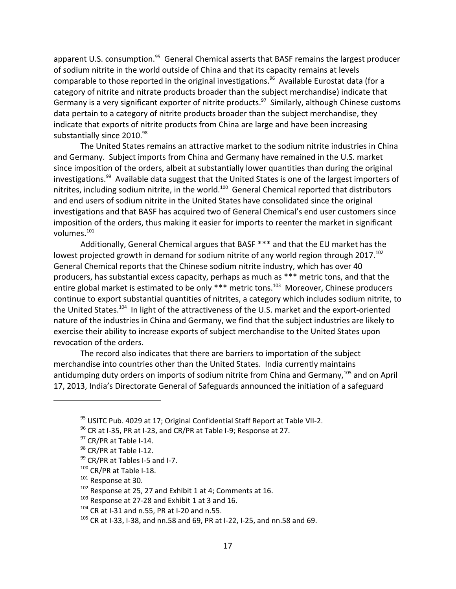apparent U.S. consumption.<sup>95</sup> General Chemical asserts that BASF remains the largest producer of sodium nitrite in the world outside of China and that its capacity remains at levels comparable to those reported in the original investigations.<sup>96</sup> Available Eurostat data (for a category of nitrite and nitrate products broader than the subject merchandise) indicate that Germany is a very significant exporter of nitrite products.<sup>97</sup> Similarly, although Chinese customs data pertain to a category of nitrite products broader than the subject merchandise, they indicate that exports of nitrite products from China are large and have been increasing substantially since 2010.<sup>98</sup>

The United States remains an attractive market to the sodium nitrite industries in China and Germany. Subject imports from China and Germany have remained in the U.S. market since imposition of the orders, albeit at substantially lower quantities than during the original investigations.<sup>99</sup> Available data suggest that the United States is one of the largest importers of nitrites, including sodium nitrite, in the world.<sup>100</sup> General Chemical reported that distributors and end users of sodium nitrite in the United States have consolidated since the original investigations and that BASF has acquired two of General Chemical's end user customers since imposition of the orders, thus making it easier for imports to reenter the market in significant volumes.<sup>101</sup>

Additionally, General Chemical argues that BASF \*\*\* and that the EU market has the lowest projected growth in demand for sodium nitrite of any world region through  $2017$ .<sup>102</sup> General Chemical reports that the Chinese sodium nitrite industry, which has over 40 producers, has substantial excess capacity, perhaps as much as \*\*\* metric tons, and that the entire global market is estimated to be only  $***$  metric tons.<sup>103</sup> Moreover, Chinese producers continue to export substantial quantities of nitrites, a category which includes sodium nitrite, to the United States.<sup>104</sup> In light of the attractiveness of the U.S. market and the export-oriented nature of the industries in China and Germany, we find that the subject industries are likely to exercise their ability to increase exports of subject merchandise to the United States upon revocation of the orders.

The record also indicates that there are barriers to importation of the subject merchandise into countries other than the United States. India currently maintains antidumping duty orders on imports of sodium nitrite from China and Germany,<sup>105</sup> and on April 17, 2013, India's Directorate General of Safeguards announced the initiation of a safeguard

 $95$  USITC Pub. 4029 at 17; Original Confidential Staff Report at Table VII-2.

<sup>&</sup>lt;sup>96</sup> CR at I-35, PR at I-23, and CR/PR at Table I-9; Response at 27.

<sup>97</sup> CR/PR at Table I-14.

<sup>98</sup> CR/PR at Table I-12.

<sup>99</sup> CR/PR at Tables I-5 and I-7.

<sup>100</sup> CR/PR at Table I-18.

<sup>&</sup>lt;sup>101</sup> Response at 30.

 $102$  Response at 25, 27 and Exhibit 1 at 4; Comments at 16.

 $103$  Response at 27-28 and Exhibit 1 at 3 and 16.

 $104$  CR at I-31 and n.55, PR at I-20 and n.55.

 $105$  CR at I-33, I-38, and nn.58 and 69, PR at I-22, I-25, and nn.58 and 69.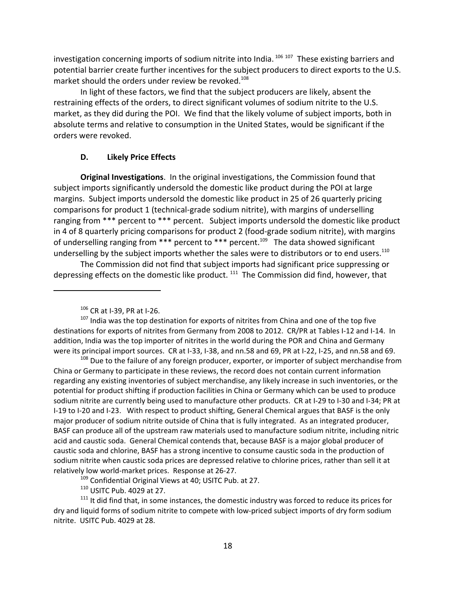investigation concerning imports of sodium nitrite into India.<sup>106 107</sup> These existing barriers and potential barrier create further incentives for the subject producers to direct exports to the U.S. market should the orders under review be revoked.<sup>108</sup>

In light of these factors, we find that the subject producers are likely, absent the restraining effects of the orders, to direct significant volumes of sodium nitrite to the U.S. market, as they did during the POI. We find that the likely volume of subject imports, both in absolute terms and relative to consumption in the United States, would be significant if the orders were revoked.

## **D. Likely Price Effects**

**Original Investigations**. In the original investigations, the Commission found that subject imports significantly undersold the domestic like product during the POI at large margins. Subject imports undersold the domestic like product in 25 of 26 quarterly pricing comparisons for product 1 (technical‐grade sodium nitrite), with margins of underselling ranging from \*\*\* percent to \*\*\* percent. Subject imports undersold the domestic like product in 4 of 8 quarterly pricing comparisons for product 2 (food-grade sodium nitrite), with margins of underselling ranging from \*\*\* percent to \*\*\* percent.<sup>109</sup> The data showed significant underselling by the subject imports whether the sales were to distributors or to end users.<sup>110</sup>

The Commission did not find that subject imports had significant price suppressing or depressing effects on the domestic like product.<sup>111</sup> The Commission did find, however, that

<sup>109</sup> Confidential Original Views at 40; USITC Pub. at 27.

<sup>110</sup> USITC Pub. 4029 at 27.

<sup>111</sup> It did find that, in some instances, the domestic industry was forced to reduce its prices for dry and liquid forms of sodium nitrite to compete with low-priced subject imports of dry form sodium nitrite. USITC Pub. 4029 at 28.

<sup>106</sup> CR at I‐39, PR at I‐26.

 $107$  India was the top destination for exports of nitrites from China and one of the top five destinations for exports of nitrites from Germany from 2008 to 2012. CR/PR at Tables I‐12 and I‐14. In addition, India was the top importer of nitrites in the world during the POR and China and Germany were its principal import sources. CR at I‐33, I‐38, and nn.58 and 69, PR at I‐22, I‐25, and nn.58 and 69.

<sup>&</sup>lt;sup>108</sup> Due to the failure of any foreign producer, exporter, or importer of subject merchandise from China or Germany to participate in these reviews, the record does not contain current information regarding any existing inventories of subject merchandise, any likely increase in such inventories, or the potential for product shifting if production facilities in China or Germany which can be used to produce sodium nitrite are currently being used to manufacture other products. CR at I-29 to I-30 and I-34; PR at I‐19 to I‐20 and I‐23. With respect to product shifting, General Chemical argues that BASF is the only major producer of sodium nitrite outside of China that is fully integrated. As an integrated producer, BASF can produce all of the upstream raw materials used to manufacture sodium nitrite, including nitric acid and caustic soda. General Chemical contends that, because BASF is a major global producer of caustic soda and chlorine, BASF has a strong incentive to consume caustic soda in the production of sodium nitrite when caustic soda prices are depressed relative to chlorine prices, rather than sell it at relatively low world‐market prices. Response at 26‐27.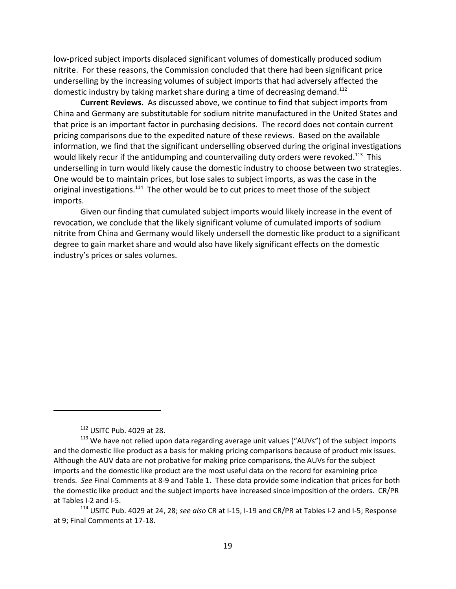low‐priced subject imports displaced significant volumes of domestically produced sodium nitrite. For these reasons, the Commission concluded that there had been significant price underselling by the increasing volumes of subject imports that had adversely affected the domestic industry by taking market share during a time of decreasing demand.<sup>112</sup>

**Current Reviews.** As discussed above, we continue to find that subject imports from China and Germany are substitutable for sodium nitrite manufactured in the United States and that price is an important factor in purchasing decisions. The record does not contain current pricing comparisons due to the expedited nature of these reviews. Based on the available information, we find that the significant underselling observed during the original investigations would likely recur if the antidumping and countervailing duty orders were revoked.<sup>113</sup> This underselling in turn would likely cause the domestic industry to choose between two strategies. One would be to maintain prices, but lose sales to subject imports, as was the case in the original investigations.<sup>114</sup> The other would be to cut prices to meet those of the subject imports.

Given our finding that cumulated subject imports would likely increase in the event of revocation, we conclude that the likely significant volume of cumulated imports of sodium nitrite from China and Germany would likely undersell the domestic like product to a significant degree to gain market share and would also have likely significant effects on the domestic industry's prices or sales volumes.

<sup>112</sup> USITC Pub. 4029 at 28.

 $113$  We have not relied upon data regarding average unit values ("AUVs") of the subject imports and the domestic like product as a basis for making pricing comparisons because of product mix issues. Although the AUV data are not probative for making price comparisons, the AUVs for the subject imports and the domestic like product are the most useful data on the record for examining price trends. *See* Final Comments at 8‐9 and Table 1. These data provide some indication that prices for both the domestic like product and the subject imports have increased since imposition of the orders. CR/PR at Tables I‐2 and I‐5.

<sup>114</sup> USITC Pub. 4029 at 24, 28; *see also* CR at I‐15, I‐19 and CR/PR at Tables I‐2 and I‐5; Response at 9; Final Comments at 17‐18.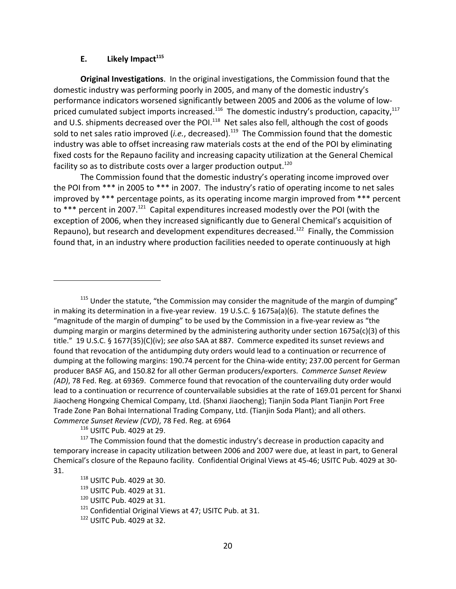#### **E.** Likely Impact<sup>115</sup>

**Original Investigations**. In the original investigations, the Commission found that the domestic industry was performing poorly in 2005, and many of the domestic industry's performance indicators worsened significantly between 2005 and 2006 as the volume of low‐ priced cumulated subject imports increased.<sup>116</sup> The domestic industry's production, capacity,<sup>117</sup> and U.S. shipments decreased over the POI.<sup>118</sup> Net sales also fell, although the cost of goods sold to net sales ratio improved (*i.e.*, decreased).<sup>119</sup> The Commission found that the domestic industry was able to offset increasing raw materials costs at the end of the POI by eliminating fixed costs for the Repauno facility and increasing capacity utilization at the General Chemical facility so as to distribute costs over a larger production output.<sup>120</sup>

The Commission found that the domestic industry's operating income improved over the POI from \*\*\* in 2005 to \*\*\* in 2007. The industry's ratio of operating income to net sales improved by \*\*\* percentage points, as its operating income margin improved from \*\*\* percent to \*\*\* percent in 2007.<sup>121</sup> Capital expenditures increased modestly over the POI (with the exception of 2006, when they increased significantly due to General Chemical's acquisition of Repauno), but research and development expenditures decreased.<sup>122</sup> Finally, the Commission found that, in an industry where production facilities needed to operate continuously at high

<sup>115</sup> Under the statute, "the Commission may consider the magnitude of the margin of dumping" in making its determination in a five-year review. 19 U.S.C. § 1675a(a)(6). The statute defines the "magnitude of the margin of dumping" to be used by the Commission in a five‐year review as "the dumping margin or margins determined by the administering authority under section 1675a(c)(3) of this title." 19 U.S.C. § 1677(35)(C)(iv); *see also* SAA at 887. Commerce expedited its sunset reviews and found that revocation of the antidumping duty orders would lead to a continuation or recurrence of dumping at the following margins: 190.74 percent for the China‐wide entity; 237.00 percent for German producer BASF AG, and 150.82 for all other German producers/exporters. *Commerce Sunset Review (AD)*, 78 Fed. Reg. at 69369. Commerce found that revocation of the countervailing duty order would lead to a continuation or recurrence of countervailable subsidies at the rate of 169.01 percent for Shanxi Jiaocheng Hongxing Chemical Company, Ltd. (Shanxi Jiaocheng); Tianjin Soda Plant Tianjin Port Free Trade Zone Pan Bohai International Trading Company, Ltd. (Tianjin Soda Plant); and all others. *Commerce Sunset Review (CVD)*, 78 Fed. Reg. at 6964

<sup>116</sup> USITC Pub. 4029 at 29.

<sup>117</sup> The Commission found that the domestic industry's decrease in production capacity and temporary increase in capacity utilization between 2006 and 2007 were due, at least in part, to General Chemical's closure of the Repauno facility. Confidential Original Views at 45‐46; USITC Pub. 4029 at 30‐ 31.

<sup>118</sup> USITC Pub. 4029 at 30.

 $119$  USITC Pub. 4029 at 31.

<sup>&</sup>lt;sup>120</sup> USITC Pub. 4029 at 31.

<sup>&</sup>lt;sup>121</sup> Confidential Original Views at 47; USITC Pub. at 31.

<sup>122</sup> USITC Pub. 4029 at 32.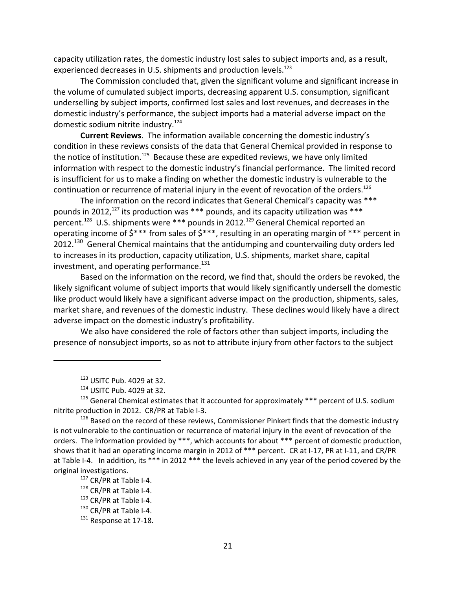capacity utilization rates, the domestic industry lost sales to subject imports and, as a result, experienced decreases in U.S. shipments and production levels.<sup>123</sup>

The Commission concluded that, given the significant volume and significant increase in the volume of cumulated subject imports, decreasing apparent U.S. consumption, significant underselling by subject imports, confirmed lost sales and lost revenues, and decreases in the domestic industry's performance, the subject imports had a material adverse impact on the domestic sodium nitrite industry.<sup>124</sup>

**Current Reviews**. The information available concerning the domestic industry's condition in these reviews consists of the data that General Chemical provided in response to the notice of institution.<sup>125</sup> Because these are expedited reviews, we have only limited information with respect to the domestic industry's financial performance. The limited record is insufficient for us to make a finding on whether the domestic industry is vulnerable to the continuation or recurrence of material injury in the event of revocation of the orders.<sup>126</sup>

The information on the record indicates that General Chemical's capacity was \*\*\* pounds in 2012,<sup>127</sup> its production was \*\*\* pounds, and its capacity utilization was \*\*\* percent.<sup>128</sup> U.S. shipments were \*\*\* pounds in 2012.<sup>129</sup> General Chemical reported an operating income of \$\*\*\* from sales of \$\*\*\*, resulting in an operating margin of \*\*\* percent in 2012.<sup>130</sup> General Chemical maintains that the antidumping and countervailing duty orders led to increases in its production, capacity utilization, U.S. shipments, market share, capital investment, and operating performance.<sup>131</sup>

Based on the information on the record, we find that, should the orders be revoked, the likely significant volume of subject imports that would likely significantly undersell the domestic like product would likely have a significant adverse impact on the production, shipments, sales, market share, and revenues of the domestic industry. These declines would likely have a direct adverse impact on the domestic industry's profitability.

We also have considered the role of factors other than subject imports, including the presence of nonsubject imports, so as not to attribute injury from other factors to the subject

<sup>123</sup> USITC Pub. 4029 at 32.

 $124$  USITC Pub. 4029 at 32.

 $125$  General Chemical estimates that it accounted for approximately \*\*\* percent of U.S. sodium nitrite production in 2012. CR/PR at Table I‐3.

<sup>&</sup>lt;sup>126</sup> Based on the record of these reviews, Commissioner Pinkert finds that the domestic industry is not vulnerable to the continuation or recurrence of material injury in the event of revocation of the orders. The information provided by \*\*\*, which accounts for about \*\*\* percent of domestic production, shows that it had an operating income margin in 2012 of \*\*\* percent. CR at I-17, PR at I-11, and CR/PR at Table I-4. In addition, its \*\*\* in 2012 \*\*\* the levels achieved in any year of the period covered by the original investigations.

<sup>127</sup> CR/PR at Table I-4.

<sup>128</sup> CR/PR at Table I-4.

 $129$  CR/PR at Table I-4.

<sup>130</sup> CR/PR at Table I-4.

<sup>131</sup> Response at 17-18.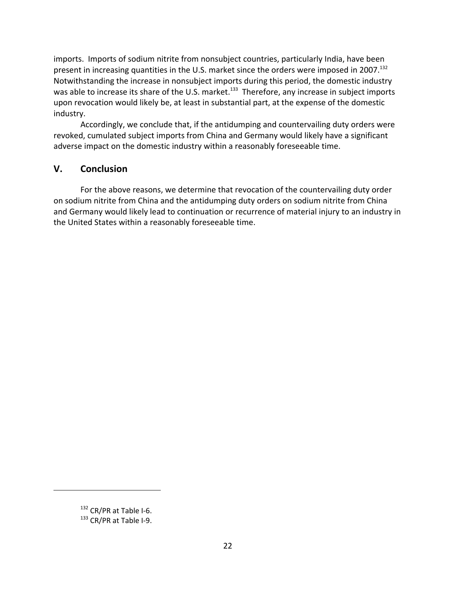imports. Imports of sodium nitrite from nonsubject countries, particularly India, have been present in increasing quantities in the U.S. market since the orders were imposed in 2007.<sup>132</sup> Notwithstanding the increase in nonsubject imports during this period, the domestic industry was able to increase its share of the U.S. market.<sup>133</sup> Therefore, any increase in subject imports upon revocation would likely be, at least in substantial part, at the expense of the domestic industry.

Accordingly, we conclude that, if the antidumping and countervailing duty orders were revoked, cumulated subject imports from China and Germany would likely have a significant adverse impact on the domestic industry within a reasonably foreseeable time.

# **V. Conclusion**

For the above reasons, we determine that revocation of the countervailing duty order on sodium nitrite from China and the antidumping duty orders on sodium nitrite from China and Germany would likely lead to continuation or recurrence of material injury to an industry in the United States within a reasonably foreseeable time.

<sup>132</sup> CR/PR at Table I-6.

<sup>133</sup> CR/PR at Table I-9.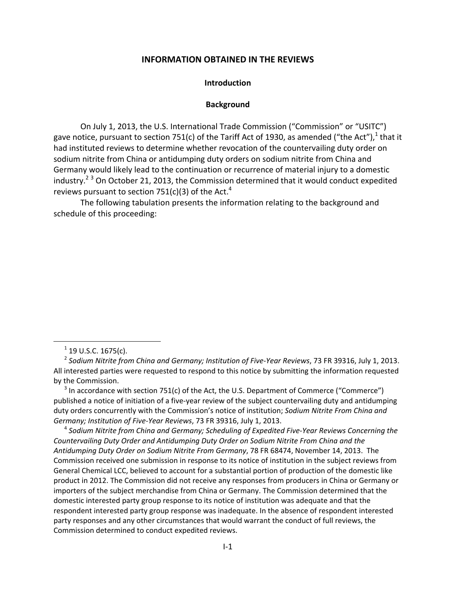#### **INFORMATION OBTAINED IN THE REVIEWS**

#### **Introduction**

#### **Background**

On July 1, 2013, the U.S. International Trade Commission ("Commission" or "USITC") gave notice, pursuant to section 751(c) of the Tariff Act of 1930, as amended ("the Act"),<sup>1</sup> that it had instituted reviews to determine whether revocation of the countervailing duty order on sodium nitrite from China or antidumping duty orders on sodium nitrite from China and Germany would likely lead to the continuation or recurrence of material injury to a domestic industry.<sup>23</sup> On October 21, 2013, the Commission determined that it would conduct expedited reviews pursuant to section 751(c)(3) of the Act.<sup>4</sup>

The following tabulation presents the information relating to the background and schedule of this proceeding:

1

 $3$  In accordance with section 751(c) of the Act, the U.S. Department of Commerce ("Commerce") published a notice of initiation of a five-year review of the subject countervailing duty and antidumping duty orders concurrently with the Commission's notice of institution; *Sodium Nitrite From China and Germany; Institution of Five‐Year Reviews*, 73 FR 39316, July 1, 2013.

<sup>4</sup> *Sodium Nitrite from China and Germany; Scheduling of Expedited Five‐Year Reviews Concerning the Countervailing Duty Order and Antidumping Duty Order on Sodium Nitrite From China and the Antidumping Duty Order on Sodium Nitrite From Germany*, 78 FR 68474, November 14, 2013. The Commission received one submission in response to its notice of institution in the subject reviews from General Chemical LCC, believed to account for a substantial portion of production of the domestic like product in 2012. The Commission did not receive any responses from producers in China or Germany or importers of the subject merchandise from China or Germany. The Commission determined that the domestic interested party group response to its notice of institution was adequate and that the respondent interested party group response was inadequate. In the absence of respondent interested party responses and any other circumstances that would warrant the conduct of full reviews, the Commission determined to conduct expedited reviews.

 $1$  19 U.S.C. 1675(c).

<sup>2</sup> *Sodium Nitrite from China and Germany; Institution of Five‐Year Reviews*, 73 FR 39316, July 1, 2013. All interested parties were requested to respond to this notice by submitting the information requested by the Commission.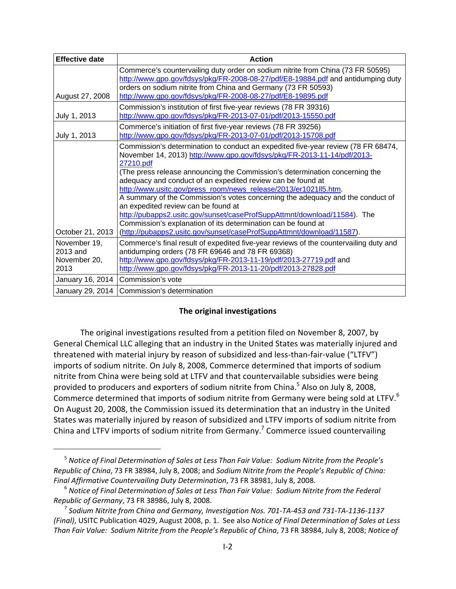| <b>Effective date</b> | <b>Action</b>                                                                                                                                                                                                                                                                                                                                                                                                                                                                                                                                                                                                                                                                                                                              |
|-----------------------|--------------------------------------------------------------------------------------------------------------------------------------------------------------------------------------------------------------------------------------------------------------------------------------------------------------------------------------------------------------------------------------------------------------------------------------------------------------------------------------------------------------------------------------------------------------------------------------------------------------------------------------------------------------------------------------------------------------------------------------------|
|                       | Commerce's countervailing duty order on sodium nitrite from China (73 FR 50595)<br>http://www.gpo.gov/fdsys/pkg/FR-2008-08-27/pdf/E8-19884.pdf and antidumping duty<br>orders on sodium nitrite from China and Germany (73 FR 50593)                                                                                                                                                                                                                                                                                                                                                                                                                                                                                                       |
| August 27, 2008       | http://www.gpo.gov/fdsys/pkg/FR-2008-08-27/pdf/E8-19895.pdf                                                                                                                                                                                                                                                                                                                                                                                                                                                                                                                                                                                                                                                                                |
| July 1, 2013          | Commission's institution of first five-year reviews (78 FR 39316)<br>http://www.gpo.gov/fdsys/pkg/FR-2013-07-01/pdf/2013-15550.pdf                                                                                                                                                                                                                                                                                                                                                                                                                                                                                                                                                                                                         |
| July 1, 2013          | Commerce's initiation of first five-year reviews (78 FR 39256)<br>http://www.gpo.gov/fdsys/pkg/FR-2013-07-01/pdf/2013-15708.pdf                                                                                                                                                                                                                                                                                                                                                                                                                                                                                                                                                                                                            |
| October 21, 2013      | Commission's determination to conduct an expedited five-year review (78 FR 68474,<br>November 14, 2013) http://www.gpo.gov/fdsys/pkg/FR-2013-11-14/pdf/2013-<br>27210.pdf<br>(The press release announcing the Commission's determination concerning the<br>adequacy and conduct of an expedited review can be found at<br>http://www.usitc.gov/press_room/news_release/2013/er1021ll5.htm.<br>A summary of the Commission's votes concerning the adequacy and the conduct of<br>an expedited review can be found at<br>http://pubapps2.usitc.gov/sunset/caseProfSuppAttmnt/download/11584). The<br>Commission's explanation of its determination can be found at<br>(http://pubapps2.usitc.gov/sunset/caseProfSuppAttmnt/download/11587). |
| November 19,          | Commerce's final result of expedited five-year reviews of the countervailing duty and                                                                                                                                                                                                                                                                                                                                                                                                                                                                                                                                                                                                                                                      |
| 2013 and              | antidumping orders (78 FR 69646 and 78 FR 69368)                                                                                                                                                                                                                                                                                                                                                                                                                                                                                                                                                                                                                                                                                           |
| November 20,<br>2013  | http://www.gpo.gov/fdsys/pkg/FR-2013-11-19/pdf/2013-27719.pdf and<br>http://www.gpo.gov/fdsys/pkg/FR-2013-11-20/pdf/2013-27828.pdf                                                                                                                                                                                                                                                                                                                                                                                                                                                                                                                                                                                                         |
|                       | January 16, 2014 Commission's vote                                                                                                                                                                                                                                                                                                                                                                                                                                                                                                                                                                                                                                                                                                         |
| January 29, 2014      | Commission's determination                                                                                                                                                                                                                                                                                                                                                                                                                                                                                                                                                                                                                                                                                                                 |

## **The original investigations**

The original investigations resulted from a petition filed on November 8, 2007, by General Chemical LLC alleging that an industry in the United States was materially injured and threatened with material injury by reason of subsidized and less-than-fair-value ("LTFV") imports of sodium nitrite. On July 8, 2008, Commerce determined that imports of sodium nitrite from China were being sold at LTFV and that countervailable subsidies were being provided to producers and exporters of sodium nitrite from China.<sup>5</sup> Also on July 8, 2008, Commerce determined that imports of sodium nitrite from Germany were being sold at LTFV. $^6$ On August 20, 2008, the Commission issued its determination that an industry in the United States was materially injured by reason of subsidized and LTFV imports of sodium nitrite from China and LTFV imports of sodium nitrite from Germany.<sup>7</sup> Commerce issued countervailing

 $\overline{a}$ 

<sup>5</sup> *Notice of Final Determination of Sales at Less Than Fair Value: Sodium Nitrite from the People's Republic of China*, 73 FR 38984, July 8, 2008; and *Sodium Nitrite from the People's Republic of China: Final Affirmative Countervailing Duty Determination*, 73 FR 38981, July 8, 2008.

<sup>6</sup> *Notice of Final Determination of Sales at Less Than Fair Value: Sodium Nitrite from the Federal Republic of Germany*, 73 FR 38986, July 8, 2008.

<sup>&</sup>lt;sup>7</sup> Sodium Nitrite from China and Germany, Investigation Nos. 701-TA-453 and 731-TA-1136-1137 *(Final)*, USITC Publication 4029, August 2008, p. 1. See also *Notice of Final Determination of Sales at Less Than Fair Value: Sodium Nitrite from the People's Republic of China*, 73 FR 38984, July 8, 2008; *Notice of*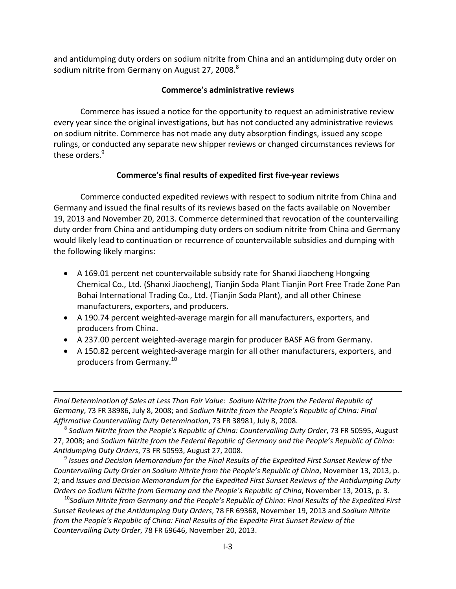and antidumping duty orders on sodium nitrite from China and an antidumping duty order on sodium nitrite from Germany on August 27, 2008.<sup>8</sup>

## **Commerce's administrative reviews**

Commerce has issued a notice for the opportunity to request an administrative review every year since the original investigations, but has not conducted any administrative reviews on sodium nitrite. Commerce has not made any duty absorption findings, issued any scope rulings, or conducted any separate new shipper reviews or changed circumstances reviews for these orders.<sup>9</sup>

## **Commerce's final results of expedited first five‐year reviews**

Commerce conducted expedited reviews with respect to sodium nitrite from China and Germany and issued the final results of its reviews based on the facts available on November 19, 2013 and November 20, 2013. Commerce determined that revocation of the countervailing duty order from China and antidumping duty orders on sodium nitrite from China and Germany would likely lead to continuation or recurrence of countervailable subsidies and dumping with the following likely margins:

- A 169.01 percent net countervailable subsidy rate for Shanxi Jiaocheng Hongxing Chemical Co., Ltd. (Shanxi Jiaocheng), Tianjin Soda Plant Tianjin Port Free Trade Zone Pan Bohai International Trading Co., Ltd. (Tianjin Soda Plant), and all other Chinese manufacturers, exporters, and producers.
- A 190.74 percent weighted‐average margin for all manufacturers, exporters, and producers from China.
- A 237.00 percent weighted-average margin for producer BASF AG from Germany.
- A 150.82 percent weighted‐average margin for all other manufacturers, exporters, and producers from Germany.<sup>10</sup>

*Final Determination of Sales at Less Than Fair Value: Sodium Nitrite from the Federal Republic of Germany*, 73 FR 38986, July 8, 2008; and *Sodium Nitrite from the People's Republic of China: Final Affirmative Countervailing Duty Determination*, 73 FR 38981, July 8, 2008.

1

<sup>8</sup> *Sodium Nitrite from the People's Republic of China: Countervailing Duty Order*, 73 FR 50595, August 27, 2008; and *Sodium Nitrite from the Federal Republic of Germany and the People's Republic of China: Antidumping Duty Orders*, 73 FR 50593, August 27, 2008.

<sup>9</sup> *Issues and Decision Memorandum for the Final Results of the Expedited First Sunset Review of the Countervailing Duty Order on Sodium Nitrite from the People's Republic of China*, November 13, 2013, p. 2; and *Issues and Decision Memorandum for the Expedited First Sunset Reviews of the Antidumping Duty Orders on Sodium Nitrite from Germany and the People's Republic of China*, November 13, 2013, p. 3.

<sup>10</sup>*Sodium Nitrite from Germany and the People's Republic of China: Final Results of the Expedited First Sunset Reviews of the Antidumping Duty Orders*, 78 FR 69368, November 19, 2013 and *Sodium Nitrite from the People's Republic of China: Final Results of the Expedite First Sunset Review of the Countervailing Duty Order*, 78 FR 69646, November 20, 2013.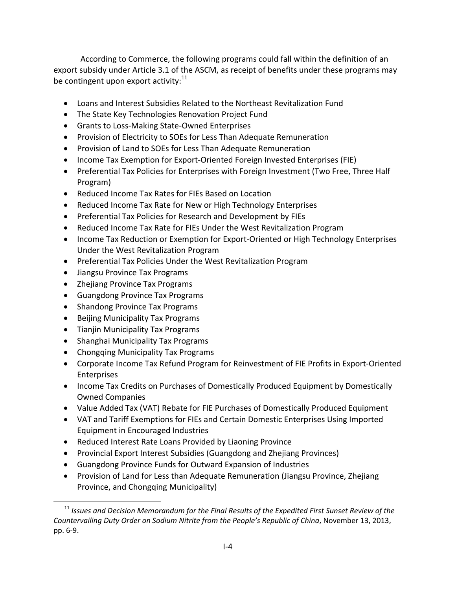According to Commerce, the following programs could fall within the definition of an export subsidy under Article 3.1 of the ASCM, as receipt of benefits under these programs may be contingent upon export activity: $11$ 

- Loans and Interest Subsidies Related to the Northeast Revitalization Fund
- The State Key Technologies Renovation Project Fund
- Grants to Loss-Making State-Owned Enterprises
- Provision of Electricity to SOEs for Less Than Adequate Remuneration
- Provision of Land to SOEs for Less Than Adequate Remuneration
- Income Tax Exemption for Export-Oriented Foreign Invested Enterprises (FIE)
- Preferential Tax Policies for Enterprises with Foreign Investment (Two Free, Three Half Program)
- Reduced Income Tax Rates for FIEs Based on Location
- Reduced Income Tax Rate for New or High Technology Enterprises
- Preferential Tax Policies for Research and Development by FIEs
- Reduced Income Tax Rate for FIEs Under the West Revitalization Program
- Income Tax Reduction or Exemption for Export-Oriented or High Technology Enterprises Under the West Revitalization Program
- Preferential Tax Policies Under the West Revitalization Program
- Jiangsu Province Tax Programs
- Zhejiang Province Tax Programs
- Guangdong Province Tax Programs
- Shandong Province Tax Programs
- Beijing Municipality Tax Programs
- Tianjin Municipality Tax Programs

 $\overline{a}$ 

- Shanghai Municipality Tax Programs
- Chongqing Municipality Tax Programs
- Corporate Income Tax Refund Program for Reinvestment of FIE Profits in Export‐Oriented Enterprises
- Income Tax Credits on Purchases of Domestically Produced Equipment by Domestically Owned Companies
- Value Added Tax (VAT) Rebate for FIE Purchases of Domestically Produced Equipment
- VAT and Tariff Exemptions for FIEs and Certain Domestic Enterprises Using Imported Equipment in Encouraged Industries
- Reduced Interest Rate Loans Provided by Liaoning Province
- Provincial Export Interest Subsidies (Guangdong and Zhejiang Provinces)
- Guangdong Province Funds for Outward Expansion of Industries
- Provision of Land for Less than Adequate Remuneration (Jiangsu Province, Zhejiang Province, and Chongqing Municipality)

<sup>11</sup> *Issues and Decision Memorandum for the Final Results of the Expedited First Sunset Review of the Countervailing Duty Order on Sodium Nitrite from the People's Republic of China*, November 13, 2013, pp. 6‐9.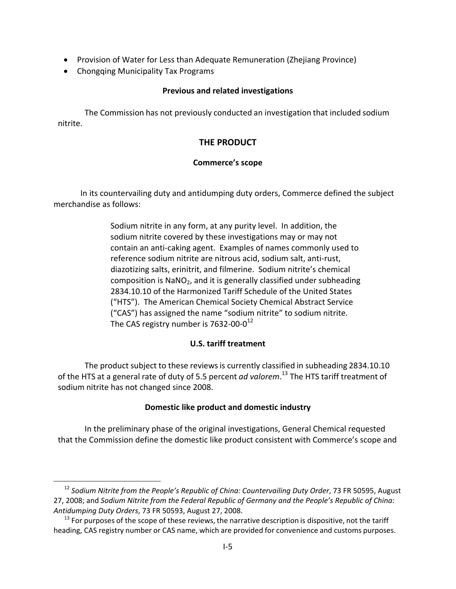- Provision of Water for Less than Adequate Remuneration (Zhejiang Province)
- Chongqing Municipality Tax Programs

 $\overline{a}$ 

## **Previous and related investigations**

The Commission has not previously conducted an investigation that included sodium nitrite.

# **THE PRODUCT**

## **Commerce's scope**

In its countervailing duty and antidumping duty orders, Commerce defined the subject merchandise as follows:

> Sodium nitrite in any form, at any purity level. In addition, the sodium nitrite covered by these investigations may or may not contain an anti‐caking agent. Examples of names commonly used to reference sodium nitrite are nitrous acid, sodium salt, anti‐rust, diazotizing salts, erinitrit, and filmerine. Sodium nitrite's chemical composition is NaNO<sub>2</sub>, and it is generally classified under subheading 2834.10.10 of the Harmonized Tariff Schedule of the United States ("HTS"). The American Chemical Society Chemical Abstract Service ("CAS") has assigned the name "sodium nitrite" to sodium nitrite. The CAS registry number is  $7632 - 00 - 0^{12}$

## **U.S. tariff treatment**

The product subject to these reviews is currently classified in subheading 2834.10.10 of the HTS at a general rate of duty of 5.5 percent *ad valorem*. <sup>13</sup> The HTS tariff treatment of sodium nitrite has not changed since 2008.

## **Domestic like product and domestic industry**

In the preliminary phase of the original investigations, General Chemical requested that the Commission define the domestic like product consistent with Commerce's scope and

<sup>12</sup> *Sodium Nitrite from the People's Republic of China: Countervailing Duty Order*, 73 FR 50595, August 27, 2008; and *Sodium Nitrite from the Federal Republic of Germany and the People's Republic of China: Antidumping Duty Orders*, 73 FR 50593, August 27, 2008.

 $13$  For purposes of the scope of these reviews, the narrative description is dispositive, not the tariff heading, CAS registry number or CAS name, which are provided for convenience and customs purposes.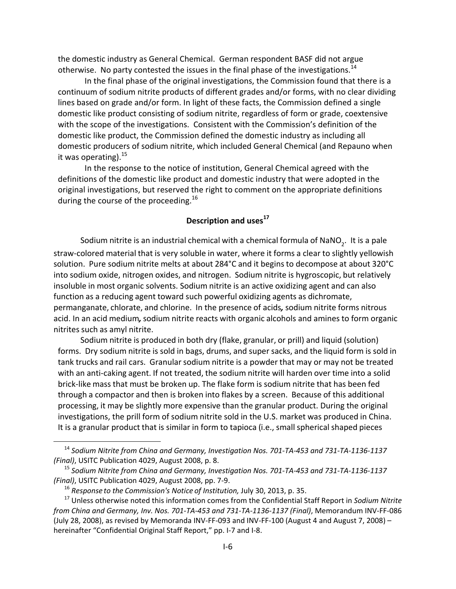the domestic industry as General Chemical. German respondent BASF did not argue otherwise. No party contested the issues in the final phase of the investigations.<sup>14</sup>

In the final phase of the original investigations, the Commission found that there is a continuum of sodium nitrite products of different grades and/or forms, with no clear dividing lines based on grade and/or form. In light of these facts, the Commission defined a single domestic like product consisting of sodium nitrite, regardless of form or grade, coextensive with the scope of the investigations. Consistent with the Commission's definition of the domestic like product, the Commission defined the domestic industry as including all domestic producers of sodium nitrite, which included General Chemical (and Repauno when it was operating).  $15$ 

In the response to the notice of institution, General Chemical agreed with the definitions of the domestic like product and domestic industry that were adopted in the original investigations, but reserved the right to comment on the appropriate definitions during the course of the proceeding.<sup>16</sup>

## **Description and uses<sup>17</sup>**

Sodium nitrite is an industrial chemical with a chemical formula of NaNO<sub>2</sub>. It is a pale straw‐colored material that is very soluble in water, where it forms a clear to slightly yellowish solution. Pure sodium nitrite melts at about 284°C and it begins to decompose at about 320°C into sodium oxide, nitrogen oxides, and nitrogen. Sodium nitrite is hygroscopic, but relatively insoluble in most organic solvents. Sodium nitrite is an active oxidizing agent and can also function as a reducing agent toward such powerful oxidizing agents as dichromate, permanganate, chlorate, and chlorine. In the presence of acids*,* sodium nitrite forms nitrous acid. In an acid medium*,*sodium nitrite reacts with organic alcohols and amines to form organic nitrites such as amyl nitrite.

Sodium nitrite is produced in both dry (flake, granular, or prill) and liquid (solution) forms. Dry sodium nitrite is sold in bags, drums, and super sacks, and the liquid form is sold in tank trucks and rail cars. Granularsodium nitrite is a powder that may or may not be treated with an anti-caking agent. If not treated, the sodium nitrite will harden over time into a solid brick‐like mass that must be broken up. The flake form is sodium nitrite that has been fed through a compactor and then is broken into flakes by a screen. Because of this additional processing, it may be slightly more expensive than the granular product. During the original investigations, the prill form of sodium nitrite sold in the U.S. market was produced in China. It is a granular product that is similar in form to tapioca (i.e., small spherical shaped pieces

 $\overline{a}$ 

 $14$  Sodium Nitrite from China and Germany, Investigation Nos. 701-TA-453 and 731-TA-1136-1137 *(Final)*, USITC Publication 4029, August 2008, p. 8.

<sup>&</sup>lt;sup>15</sup> Sodium Nitrite from China and Germany, Investigation Nos. 701-TA-453 and 731-TA-1136-1137 *(Final)*, USITC Publication 4029, August 2008, pp. 7‐9.

<sup>16</sup> *Response to the Commission's Notice of Institution,* July 30, 2013, p. 35.

<sup>17</sup> Unless otherwise noted this information comes from the Confidential Staff Report in *Sodium Nitrite* from China and Germany, Inv. Nos. 701-TA-453 and 731-TA-1136-1137 (Final), Memorandum INV-FF-086 (July 28, 2008), as revised by Memoranda INV‐FF‐093 and INV‐FF‐100 (August 4 and August 7, 2008) – hereinafter "Confidential Original Staff Report," pp. I-7 and I-8.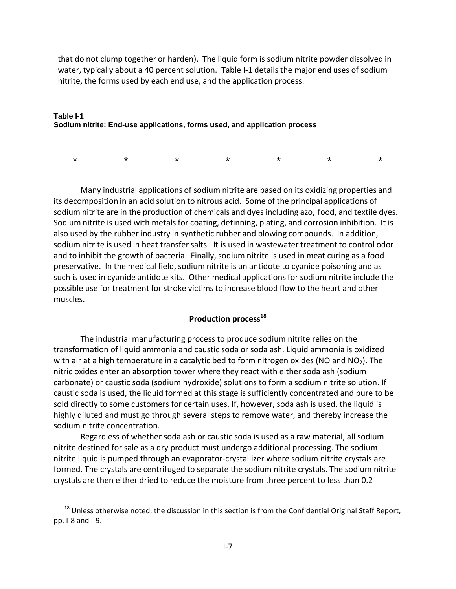that do not clump together or harden). The liquid form is sodium nitrite powder dissolved in water, typically about a 40 percent solution. Table I-1 details the major end uses of sodium nitrite, the forms used by each end use, and the application process.

#### **Table I-1 Sodium nitrite: End-use applications, forms used, and application process**

\* \* \* \* \* \* \*

Many industrial applications of sodium nitrite are based on its oxidizing properties and its decomposition in an acid solution to nitrous acid. Some of the principal applications of sodium nitrite are in the production of chemicals and dyes including azo, food, and textile dyes. Sodium nitrite is used with metals for coating, detinning, plating, and corrosion inhibition. It is also used by the rubber industry in synthetic rubber and blowing compounds. In addition, sodium nitrite is used in heat transfer salts. It is used in wastewater treatment to control odor and to inhibit the growth of bacteria. Finally, sodium nitrite is used in meat curing as a food preservative. In the medical field, sodium nitrite is an antidote to cyanide poisoning and as such is used in cyanide antidote kits. Other medical applications for sodium nitrite include the possible use for treatment for stroke victimsto increase blood flow to the heart and other muscles.

# **Production process<sup>18</sup>**

The industrial manufacturing process to produce sodium nitrite relies on the transformation of liquid ammonia and caustic soda or soda ash. Liquid ammonia is oxidized with air at a high temperature in a catalytic bed to form nitrogen oxides (NO and  $NO<sub>2</sub>$ ). The nitric oxides enter an absorption tower where they react with either soda ash (sodium carbonate) or caustic soda (sodium hydroxide) solutions to form a sodium nitrite solution. If caustic soda is used, the liquid formed at this stage is sufficiently concentrated and pure to be sold directly to some customers for certain uses. If, however, soda ash is used, the liquid is highly diluted and must go through several steps to remove water, and thereby increase the sodium nitrite concentration.

Regardless of whether soda ash or caustic soda is used as a raw material, all sodium nitrite destined for sale as a dry product must undergo additional processing. The sodium nitrite liquid is pumped through an evaporator‐crystallizer where sodium nitrite crystals are formed. The crystals are centrifuged to separate the sodium nitrite crystals. The sodium nitrite crystals are then either dried to reduce the moisture from three percent to less than 0.2

 $\overline{a}$ 

<sup>&</sup>lt;sup>18</sup> Unless otherwise noted, the discussion in this section is from the Confidential Original Staff Report, pp. I‐8 and I‐9.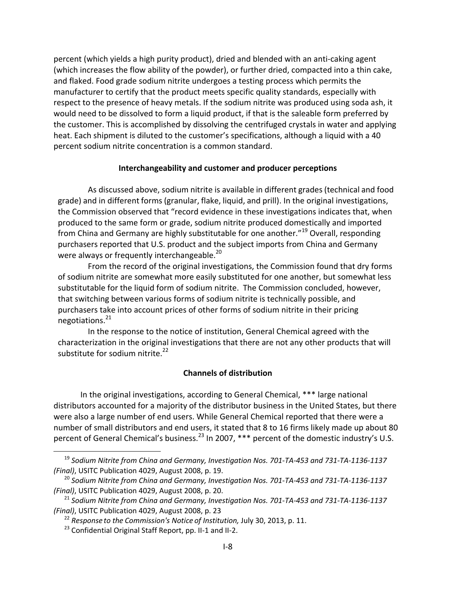percent (which yields a high purity product), dried and blended with an anti‐caking agent (which increases the flow ability of the powder), or further dried, compacted into a thin cake, and flaked. Food grade sodium nitrite undergoes a testing process which permits the manufacturer to certify that the product meets specific quality standards, especially with respect to the presence of heavy metals. If the sodium nitrite was produced using soda ash, it would need to be dissolved to form a liquid product, if that is the saleable form preferred by the customer. This is accomplished by dissolving the centrifuged crystals in water and applying heat. Each shipment is diluted to the customer's specifications, although a liquid with a 40 percent sodium nitrite concentration is a common standard.

### **Interchangeability and customer and producer perceptions**

As discussed above, sodium nitrite is available in different grades (technical and food grade) and in different forms (granular, flake, liquid, and prill). In the original investigations, the Commission observed that "record evidence in these investigations indicates that, when produced to the same form or grade, sodium nitrite produced domestically and imported from China and Germany are highly substitutable for one another."<sup>19</sup> Overall, responding purchasers reported that U.S. product and the subject imports from China and Germany were always or frequently interchangeable.<sup>20</sup>

From the record of the original investigations, the Commission found that dry forms of sodium nitrite are somewhat more easily substituted for one another, but somewhat less substitutable for the liquid form of sodium nitrite. The Commission concluded, however, that switching between various forms of sodium nitrite is technically possible, and purchasers take into account prices of other forms of sodium nitrite in their pricing negotiations.21

In the response to the notice of institution, General Chemical agreed with the characterization in the original investigations that there are not any other products that will substitute for sodium nitrite. $^{22}$ 

## **Channels of distribution**

In the original investigations, according to General Chemical, \*\*\* large national distributors accounted for a majority of the distributor business in the United States, but there were also a large number of end users. While General Chemical reported that there were a number of small distributors and end users, it stated that 8 to 16 firms likely made up about 80 percent of General Chemical's business.<sup>23</sup> In 2007, \*\*\* percent of the domestic industry's U.S.

<sup>&</sup>lt;sup>19</sup> Sodium Nitrite from China and Germany, Investigation Nos. 701-TA-453 and 731-TA-1136-1137 *(Final)*, USITC Publication 4029, August 2008, p. 19.

<sup>&</sup>lt;sup>20</sup> Sodium Nitrite from China and Germany, Investigation Nos. 701-TA-453 and 731-TA-1136-1137 *(Final)*, USITC Publication 4029, August 2008, p. 20.

<sup>&</sup>lt;sup>21</sup> Sodium Nitrite from China and Germany, Investigation Nos. 701-TA-453 and 731-TA-1136-1137 *(Final)*, USITC Publication 4029, August 2008, p. 23

<sup>22</sup> *Response to the Commission's Notice of Institution,* July 30, 2013, p. 11.

<sup>&</sup>lt;sup>23</sup> Confidential Original Staff Report, pp. II-1 and II-2.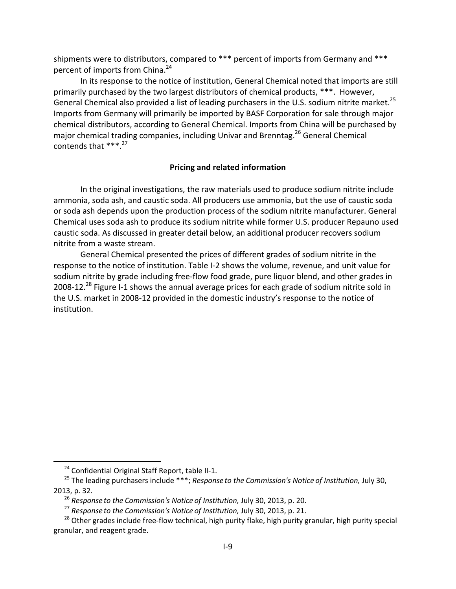shipments were to distributors, compared to \*\*\* percent of imports from Germany and \*\*\* percent of imports from China.<sup>24</sup>

In its response to the notice of institution, General Chemical noted that imports are still primarily purchased by the two largest distributors of chemical products, \*\*\*. However, General Chemical also provided a list of leading purchasers in the U.S. sodium nitrite market.<sup>25</sup> Imports from Germany will primarily be imported by BASF Corporation for sale through major chemical distributors, according to General Chemical. Imports from China will be purchased by major chemical trading companies, including Univar and Brenntag.<sup>26</sup> General Chemical contends that  $***<sup>27</sup>$ .

## **Pricing and related information**

In the original investigations, the raw materials used to produce sodium nitrite include ammonia, soda ash, and caustic soda. All producers use ammonia, but the use of caustic soda or soda ash depends upon the production process of the sodium nitrite manufacturer. General Chemical uses soda ash to produce its sodium nitrite while former U.S. producer Repauno used caustic soda. As discussed in greater detail below, an additional producer recovers sodium nitrite from a waste stream.

General Chemical presented the prices of different grades of sodium nitrite in the response to the notice of institution. Table I‐2 shows the volume, revenue, and unit value for sodium nitrite by grade including free‐flow food grade, pure liquor blend, and other grades in 2008-12.<sup>28</sup> Figure I-1 shows the annual average prices for each grade of sodium nitrite sold in the U.S. market in 2008‐12 provided in the domestic industry's response to the notice of institution.

 $\overline{a}$ 

<sup>&</sup>lt;sup>24</sup> Confidential Original Staff Report, table II-1.

<sup>25</sup> The leading purchasers include \*\*\*; *Response to the Commission's Notice of Institution,* July 30, 2013, p. 32.

<sup>26</sup> *Response to the Commission's Notice of Institution,* July 30, 2013, p. 20.

<sup>27</sup> *Response to the Commission's Notice of Institution,* July 30, 2013, p. 21.

<sup>&</sup>lt;sup>28</sup> Other grades include free-flow technical, high purity flake, high purity granular, high purity special granular, and reagent grade.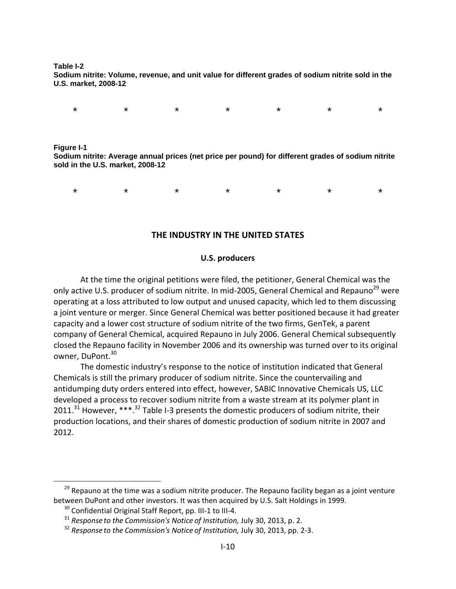**Table I-2** 

**Sodium nitrite: Volume, revenue, and unit value for different grades of sodium nitrite sold in the U.S. market, 2008-12** 

\* \* \* \* \* \* \*

**Figure I-1** 

 $\overline{a}$ 

**Sodium nitrite: Average annual prices (net price per pound) for different grades of sodium nitrite sold in the U.S. market, 2008-12** 

\* \* \* \* \* \* \*

#### **THE INDUSTRY IN THE UNITED STATES**

#### **U.S. producers**

At the time the original petitions were filed, the petitioner, General Chemical was the only active U.S. producer of sodium nitrite. In mid-2005, General Chemical and Repauno<sup>29</sup> were operating at a loss attributed to low output and unused capacity, which led to them discussing a joint venture or merger. Since General Chemical was better positioned because it had greater capacity and a lower cost structure of sodium nitrite of the two firms, GenTek, a parent company of General Chemical, acquired Repauno in July 2006. General Chemical subsequently closed the Repauno facility in November 2006 and its ownership was turned over to its original owner, DuPont.<sup>30</sup>

The domestic industry's response to the notice of institution indicated that General Chemicals is still the primary producer of sodium nitrite. Since the countervailing and antidumping duty orders entered into effect, however, SABIC Innovative Chemicals US, LLC developed a process to recover sodium nitrite from a waste stream at its polymer plant in 2011.<sup>31</sup> However, \*\*\*.<sup>32</sup> Table I-3 presents the domestic producers of sodium nitrite, their production locations, and their shares of domestic production of sodium nitrite in 2007 and 2012.

 $29$  Repauno at the time was a sodium nitrite producer. The Repauno facility began as a joint venture between DuPont and other investors. It was then acquired by U.S. Salt Holdings in 1999.

<sup>&</sup>lt;sup>30</sup> Confidential Original Staff Report, pp. III-1 to III-4.

<sup>31</sup> *Response to the Commission's Notice of Institution,* July 30, 2013, p. 2.

<sup>32</sup> *Response to the Commission's Notice of Institution,* July 30, 2013, pp. 2‐3.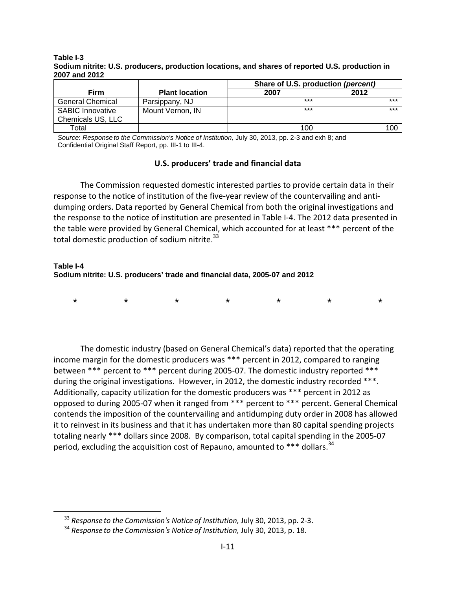#### **Table I-3 Sodium nitrite: U.S. producers, production locations, and shares of reported U.S. production in 2007 and 2012**

|                         |                       | Share of U.S. production (percent) |       |  |  |  |
|-------------------------|-----------------------|------------------------------------|-------|--|--|--|
| Firm                    | <b>Plant location</b> | 2007                               | 2012  |  |  |  |
| <b>General Chemical</b> | Parsippany, NJ        | $***$                              | $***$ |  |  |  |
| <b>SABIC Innovative</b> | Mount Vernon, IN      | $***$                              | $***$ |  |  |  |
| Chemicals US, LLC       |                       |                                    |       |  |  |  |
| Total                   |                       | 100                                | 100   |  |  |  |

*Source*: *Response to the Commission's Notice of Institution,* July 30, 2013, pp. 2-3 and exh 8; and Confidential Original Staff Report, pp. III-1 to III-4.

## **U.S. producers' trade and financial data**

The Commission requested domestic interested parties to provide certain data in their response to the notice of institution of the five-year review of the countervailing and antidumping orders. Data reported by General Chemical from both the original investigations and the response to the notice of institution are presented in Table I‐4. The 2012 data presented in the table were provided by General Chemical, which accounted for at least \*\*\* percent of the total domestic production of sodium nitrite.<sup>33</sup>

#### **Table I-4 Sodium nitrite: U.S. producers' trade and financial data, 2005-07 and 2012**

| $\star$ $\star$ $\star$ $\star$ $\star$ $\star$ $\star$ |  |  |  |
|---------------------------------------------------------|--|--|--|
|                                                         |  |  |  |

The domestic industry (based on General Chemical's data) reported that the operating income margin for the domestic producers was \*\*\* percent in 2012, compared to ranging between \*\*\* percent to \*\*\* percent during 2005‐07. The domestic industry reported \*\*\* during the original investigations. However, in 2012, the domestic industry recorded \*\*\*. Additionally, capacity utilization for the domestic producers was \*\*\* percent in 2012 as opposed to during 2005‐07 when it ranged from \*\*\* percent to \*\*\* percent. General Chemical contends the imposition of the countervailing and antidumping duty order in 2008 has allowed it to reinvest in its business and that it has undertaken more than 80 capital spending projects totaling nearly \*\*\* dollars since 2008. By comparison, total capital spending in the 2005‐07 period, excluding the acquisition cost of Repauno, amounted to  $***$  dollars.<sup>34</sup>

 $\overline{a}$ 

<sup>33</sup> *Response to the Commission's Notice of Institution,* July 30, 2013, pp. 2‐3.

<sup>34</sup> *Response to the Commission's Notice of Institution,* July 30, 2013, p. 18.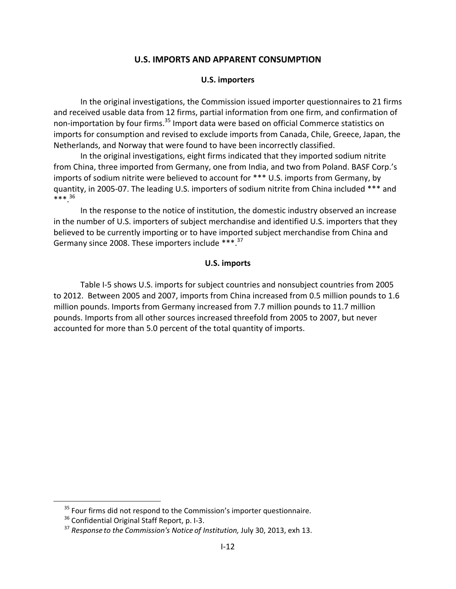## **U.S. IMPORTS AND APPARENT CONSUMPTION**

#### **U.S. importers**

In the original investigations, the Commission issued importer questionnaires to 21 firms and received usable data from 12 firms, partial information from one firm, and confirmation of non-importation by four firms.<sup>35</sup> Import data were based on official Commerce statistics on imports for consumption and revised to exclude imports from Canada, Chile, Greece, Japan, the Netherlands, and Norway that were found to have been incorrectly classified.

In the original investigations, eight firms indicated that they imported sodium nitrite from China, three imported from Germany, one from India, and two from Poland. BASF Corp.'s imports of sodium nitrite were believed to account for \*\*\* U.S. imports from Germany, by quantity, in 2005‐07. The leading U.S. importers of sodium nitrite from China included \*\*\* and \*\*\*.36

In the response to the notice of institution, the domestic industry observed an increase in the number of U.S. importers of subject merchandise and identified U.S. importers that they believed to be currently importing or to have imported subject merchandise from China and Germany since 2008. These importers include \*\*\*.<sup>37</sup>

#### **U.S. imports**

Table I‐5 shows U.S. imports for subject countries and nonsubject countries from 2005 to 2012. Between 2005 and 2007, imports from China increased from 0.5 million pounds to 1.6 million pounds. Imports from Germany increased from 7.7 million pounds to 11.7 million pounds. Imports from all other sources increased threefold from 2005 to 2007, but never accounted for more than 5.0 percent of the total quantity of imports.

 $35$  Four firms did not respond to the Commission's importer questionnaire.

<sup>&</sup>lt;sup>36</sup> Confidential Original Staff Report, p. I-3.

<sup>37</sup> *Response to the Commission's Notice of Institution,* July 30, 2013, exh 13.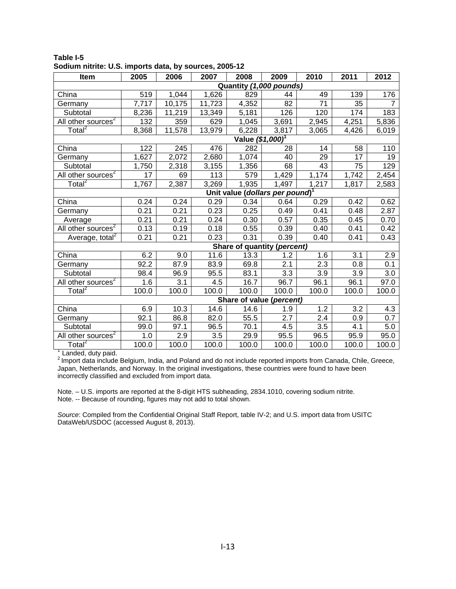| Item                           | 2005                                        | 2006                    | 2007   | 2008                         | 2009                        | 2010             | 2011             | 2012  |  |  |
|--------------------------------|---------------------------------------------|-------------------------|--------|------------------------------|-----------------------------|------------------|------------------|-------|--|--|
|                                |                                             | Quantity (1,000 pounds) |        |                              |                             |                  |                  |       |  |  |
| China                          | 519                                         | 1,044                   | 1,626  | 829                          | 44                          | 49               | 139              | 176   |  |  |
| Germany                        | 7,717                                       | 10,175                  | 11,723 | 4,352                        | 82                          | 71               | 35               |       |  |  |
| Subtotal                       | 8,236                                       | 11,219                  | 13,349 | 5,181                        | 126                         | 120              | 174              | 183   |  |  |
| All other sources <sup>2</sup> | $\overline{1}32$                            | 359                     | 629    | 1,045                        | 3,691                       | 2,945            | 4,251            | 5,836 |  |  |
| Total <sup>2</sup>             | 8,368                                       | 11,578                  | 13,979 | 6,228                        | 3,817                       | 3,065            | 4,426            | 6,019 |  |  |
|                                |                                             |                         |        | Value (\$1,000) <sup>1</sup> |                             |                  |                  |       |  |  |
| China                          | 122                                         | 245                     | 476    | 282                          | 28                          | 14               | 58               | 110   |  |  |
| Germany                        | 1,627                                       | 2,072                   | 2,680  | 1,074                        | 40                          | 29               | 17               | 19    |  |  |
| Subtotal                       | 1,750                                       | 2,318                   | 3,155  | 1,356                        | 68                          | 43               | 75               | 129   |  |  |
| All other sources <sup>2</sup> | 17                                          | 69                      | 113    | 579                          | 1,429                       | 1,174            | 1,742            | 2,454 |  |  |
| Total <sup>2</sup>             | 1,767                                       | 2,387                   | 3,269  | 1,935                        | 1,497                       | 1,217            | 1,817            | 2,583 |  |  |
|                                | Unit value (dollars per pound) <sup>1</sup> |                         |        |                              |                             |                  |                  |       |  |  |
| China                          | 0.24                                        | 0.24                    | 0.29   | 0.34                         | 0.64                        | 0.29             | 0.42             | 0.62  |  |  |
| Germany                        | 0.21                                        | 0.21                    | 0.23   | 0.25                         | 0.49                        | 0.41             | 0.48             | 2.87  |  |  |
| Average                        | 0.21                                        | 0.21                    | 0.24   | 0.30                         | 0.57                        | 0.35             | 0.45             | 0.70  |  |  |
| All other sources <sup>2</sup> | 0.13                                        | 0.19                    | 0.18   | 0.55                         | 0.39                        | 0.40             | 0.41             | 0.42  |  |  |
| Average, total <sup>2</sup>    | 0.21                                        | 0.21                    | 0.23   | 0.31                         | 0.39                        | 0.40             | 0.41             | 0.43  |  |  |
|                                |                                             |                         |        |                              | Share of quantity (percent) |                  |                  |       |  |  |
| China                          | 6.2                                         | 9.0                     | 11.6   | 13.3                         | 1.2                         | 1.6              | 3.1              | 2.9   |  |  |
| Germany                        | 92.2                                        | 87.9                    | 83.9   | 69.8                         | 2.1                         | $\overline{2.3}$ | $\overline{0.8}$ | 0.1   |  |  |
| Subtotal                       | 98.4                                        | 96.9                    | 95.5   | 83.1                         | 3.3                         | 3.9              | 3.9              | 3.0   |  |  |
| All other sources <sup>2</sup> | 1.6                                         | $\overline{3.1}$        | 4.5    | 16.7                         | 96.7                        | 96.1             | 96.1             | 97.0  |  |  |
| Total <sup>2</sup>             | 100.0                                       | 100.0                   | 100.0  | 100.0                        | 100.0                       | 100.0            | 100.0            | 100.0 |  |  |
|                                | Share of value (percent)                    |                         |        |                              |                             |                  |                  |       |  |  |
| China                          | 6.9                                         | 10.3                    | 14.6   | 14.6                         | 1.9                         | 1.2              | 3.2              | 4.3   |  |  |
| Germany                        | 92.1                                        | 86.8                    | 82.0   | 55.5                         | 2.7                         | 2.4              | 0.9              | 0.7   |  |  |
| Subtotal                       | 99.0                                        | 97.1                    | 96.5   | 70.1                         | 4.5                         | $\overline{3.5}$ | 4.1              | 5.0   |  |  |
| All other sources <sup>2</sup> | 1.0                                         | $\overline{2.9}$        | 3.5    | 29.9                         | 95.5                        | 96.5             | 95.9             | 95.0  |  |  |
| Total <sup>2</sup>             | 100.0                                       | 100.0                   | 100.0  | 100.0                        | 100.0                       | 100.0            | 100.0            | 100.0 |  |  |

#### **Table I-5 Sodium nitrite: U.S. imports data, by sources, 2005-12**

<sup>1</sup> Landed, duty paid.<br><sup>2</sup> Import data include Belgium, India, and Poland and do not include reported imports from Canada, Chile, Greece, Japan, Netherlands, and Norway. In the original investigations, these countries were found to have been incorrectly classified and excluded from import data.

Note. – U.S. imports are reported at the 8-digit HTS subheading, 2834.1010, covering sodium nitrite. Note. -- Because of rounding, figures may not add to total shown.

*Source*: Compiled from the Confidential Original Staff Report, table IV-2; and U.S. import data from USITC DataWeb/USDOC (accessed August 8, 2013).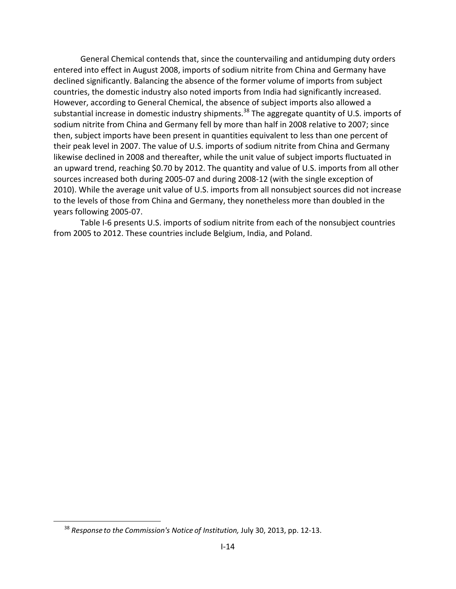General Chemical contends that, since the countervailing and antidumping duty orders entered into effect in August 2008, imports of sodium nitrite from China and Germany have declined significantly. Balancing the absence of the former volume of imports from subject countries, the domestic industry also noted imports from India had significantly increased. However, according to General Chemical, the absence of subject imports also allowed a substantial increase in domestic industry shipments.<sup>38</sup> The aggregate quantity of U.S. imports of sodium nitrite from China and Germany fell by more than half in 2008 relative to 2007; since then, subject imports have been present in quantities equivalent to less than one percent of their peak level in 2007. The value of U.S. imports of sodium nitrite from China and Germany likewise declined in 2008 and thereafter, while the unit value of subject imports fluctuated in an upward trend, reaching \$0.70 by 2012. The quantity and value of U.S. imports from all other sources increased both during 2005‐07 and during 2008‐12 (with the single exception of 2010). While the average unit value of U.S. imports from all nonsubject sources did not increase to the levels of those from China and Germany, they nonetheless more than doubled in the years following 2005‐07.

Table I-6 presents U.S. imports of sodium nitrite from each of the nonsubject countries from 2005 to 2012. These countries include Belgium, India, and Poland.

 $\overline{a}$ 

<sup>38</sup> *Response to the Commission's Notice of Institution,* July 30, 2013, pp. 12‐13.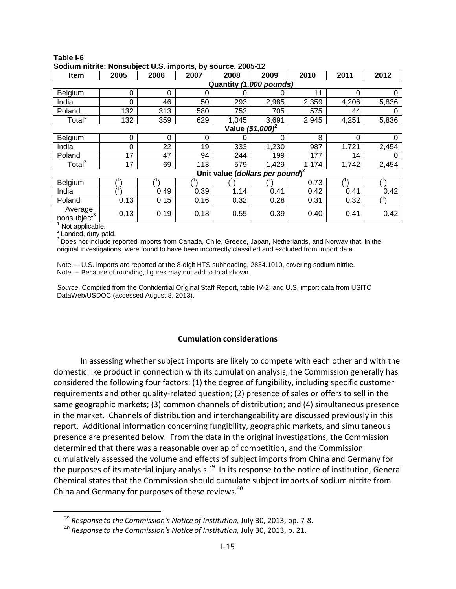| <b>Item</b>                         | 2005                         | 2006     | 2007     | 2008                                        | 2009  | 2010  | 2011  | 2012  |  |
|-------------------------------------|------------------------------|----------|----------|---------------------------------------------|-------|-------|-------|-------|--|
| Quantity (1,000 pounds)             |                              |          |          |                                             |       |       |       |       |  |
| Belgium                             | 0                            | $\Omega$ | 0        |                                             |       | 11    | 0     | 0     |  |
| India                               | $\Omega$                     | 46       | 50       | 293                                         | 2,985 | 2,359 | 4,206 | 5,836 |  |
| Poland                              | 132                          | 313      | 580      | 752                                         | 705   | 575   | 44    | 0     |  |
| Total <sup>3</sup>                  | 132                          | 359      | 629      | 1,045                                       | 3,691 | 2,945 | 4,251 | 5,836 |  |
|                                     | Value (\$1,000) <sup>2</sup> |          |          |                                             |       |       |       |       |  |
| Belgium                             | $\Omega$                     | $\Omega$ | $\Omega$ |                                             | 0     | 8     | 0     | 0     |  |
| India                               | $\Omega$                     | 22       | 19       | 333                                         | 1,230 | 987   | 1,721 | 2,454 |  |
| Poland                              | 17                           | 47       | 94       | 244                                         | 199   | 177   | 14    |       |  |
| Total <sup>3</sup>                  | 17                           | 69       | 113      | 579                                         | 1,429 | 1,174 | 1,742 | 2,454 |  |
|                                     |                              |          |          | Unit value (dollars per pound) <sup>2</sup> |       |       |       |       |  |
| Belgium                             |                              |          |          |                                             |       | 0.73  |       |       |  |
| India                               |                              | 0.49     | 0.39     | 1.14                                        | 0.41  | 0.42  | 0.41  | 0.42  |  |
| Poland                              | 0.13                         | 0.15     | 0.16     | 0.32                                        | 0.28  | 0.31  | 0.32  |       |  |
| Average,<br>nonsubject <sup>3</sup> | 0.13                         | 0.19     | 0.18     | 0.55                                        | 0.39  | 0.40  | 0.41  | 0.42  |  |

#### **Table I-6 Sodium nitrite: Nonsubject U.S. imports, by source, 2005-12**

 $<sup>1</sup>$  Not applicable.</sup>  $2$  Landed, duty paid.

 $\overline{a}$ 

<sup>3</sup> Does not include reported imports from Canada, Chile, Greece, Japan, Netherlands, and Norway that, in the

original investigations, were found to have been incorrectly classified and excluded from import data.

Note. -- U.S. imports are reported at the 8-digit HTS subheading, 2834.1010, covering sodium nitrite. Note. -- Because of rounding, figures may not add to total shown.

*Source*: Compiled from the Confidential Original Staff Report, table IV-2; and U.S. import data from USITC DataWeb/USDOC (accessed August 8, 2013).

## **Cumulation considerations**

In assessing whether subject imports are likely to compete with each other and with the domestic like product in connection with its cumulation analysis, the Commission generally has considered the following four factors: (1) the degree of fungibility, including specific customer requirements and other quality-related question; (2) presence of sales or offers to sell in the same geographic markets; (3) common channels of distribution; and (4) simultaneous presence in the market. Channels of distribution and interchangeability are discussed previously in this report. Additional information concerning fungibility, geographic markets, and simultaneous presence are presented below. From the data in the original investigations, the Commission determined that there was a reasonable overlap of competition, and the Commission cumulatively assessed the volume and effects of subject imports from China and Germany for the purposes of its material injury analysis.<sup>39</sup> In its response to the notice of institution, General Chemical states that the Commission should cumulate subject imports of sodium nitrite from China and Germany for purposes of these reviews.<sup>40</sup>

<sup>39</sup> *Response to the Commission's Notice of Institution,* July 30, 2013, pp. 7‐8.

<sup>40</sup> *Response to the Commission's Notice of Institution,* July 30, 2013, p. 21.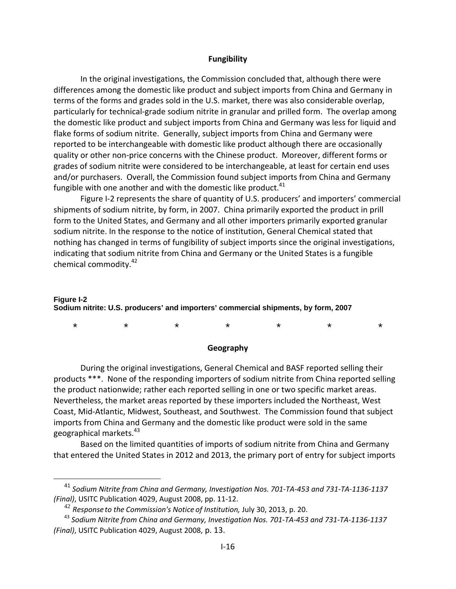#### **Fungibility**

In the original investigations, the Commission concluded that, although there were differences among the domestic like product and subject imports from China and Germany in terms of the forms and grades sold in the U.S. market, there was also considerable overlap, particularly for technical‐grade sodium nitrite in granular and prilled form. The overlap among the domestic like product and subject imports from China and Germany was less for liquid and flake forms of sodium nitrite. Generally, subject imports from China and Germany were reported to be interchangeable with domestic like product although there are occasionally quality or other non‐price concerns with the Chinese product. Moreover, different forms or grades of sodium nitrite were considered to be interchangeable, at least for certain end uses and/or purchasers. Overall, the Commission found subject imports from China and Germany fungible with one another and with the domestic like product. $41$ 

Figure I‐2 represents the share of quantity of U.S. producers' and importers' commercial shipments of sodium nitrite, by form, in 2007. China primarily exported the product in prill form to the United States, and Germany and all other importers primarily exported granular sodium nitrite. In the response to the notice of institution, General Chemical stated that nothing has changed in terms of fungibility of subject imports since the original investigations, indicating that sodium nitrite from China and Germany or the United States is a fungible chemical commodity.42

## **Figure I-2 Sodium nitrite: U.S. producers' and importers' commercial shipments, by form, 2007**

\* \* \* \* \* \* \*

#### **Geography**

During the original investigations, General Chemical and BASF reported selling their products \*\*\*. None of the responding importers of sodium nitrite from China reported selling the product nationwide; rather each reported selling in one or two specific market areas. Nevertheless, the market areas reported by these importers included the Northeast, West Coast, Mid‐Atlantic, Midwest, Southeast, and Southwest. The Commission found that subject imports from China and Germany and the domestic like product were sold in the same geographical markets.<sup>43</sup>

Based on the limited quantities of imports of sodium nitrite from China and Germany that entered the United States in 2012 and 2013, the primary port of entry for subject imports

 $\overline{a}$ 

<sup>&</sup>lt;sup>41</sup> Sodium Nitrite from China and Germany, Investigation Nos. 701-TA-453 and 731-TA-1136-1137 *(Final)*, USITC Publication 4029, August 2008, pp. 11‐12.

<sup>42</sup> *Response to the Commission's Notice of Institution,* July 30, 2013, p. 20.

<sup>&</sup>lt;sup>43</sup> Sodium Nitrite from China and Germany, Investigation Nos. 701-TA-453 and 731-TA-1136-1137 *(Final)*, USITC Publication 4029, August 2008, p. 13.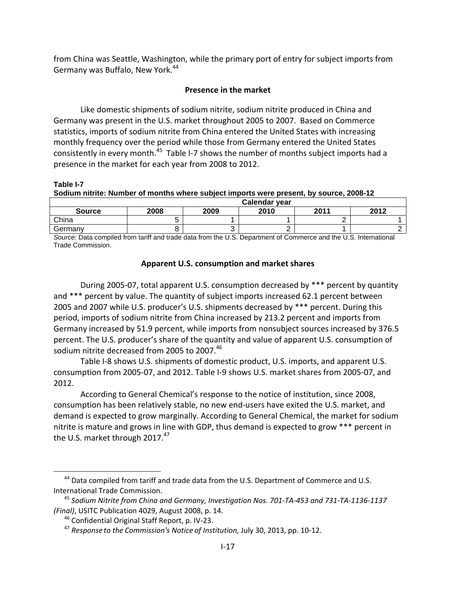from China was Seattle, Washington, while the primary port of entry for subject imports from Germany was Buffalo, New York.<sup>44</sup>

## **Presence in the market**

Like domestic shipments of sodium nitrite, sodium nitrite produced in China and Germany was present in the U.S. market throughout 2005 to 2007. Based on Commerce statistics, imports of sodium nitrite from China entered the United States with increasing monthly frequency over the period while those from Germany entered the United States consistently in every month.<sup>45</sup> Table I-7 shows the number of months subject imports had a presence in the market for each year from 2008 to 2012.

**Table I-7 Sodium nitrite: Number of months where subject imports were present, by source, 2008-12** 

|               | Calendar year |      |      |      |      |  |  |
|---------------|---------------|------|------|------|------|--|--|
| <b>Source</b> | 2008          | 2009 | 2010 | 2011 | 2012 |  |  |
| China         |               |      |      |      |      |  |  |
| Germany       |               | ັ    | -    |      |      |  |  |

*Source:* Data compiled from tariff and trade data from the U.S. Department of Commerce and the U.S. International Trade Commission.

## **Apparent U.S. consumption and market shares**

During 2005‐07, total apparent U.S. consumption decreased by \*\*\* percent by quantity and \*\*\* percent by value. The quantity of subject imports increased 62.1 percent between 2005 and 2007 while U.S. producer's U.S. shipments decreased by \*\*\* percent. During this period, imports of sodium nitrite from China increased by 213.2 percent and imports from Germany increased by 51.9 percent, while imports from nonsubject sources increased by 376.5 percent. The U.S. producer's share of the quantity and value of apparent U.S. consumption of sodium nitrite decreased from 2005 to 2007.<sup>46</sup>

Table I‐8 shows U.S. shipments of domestic product, U.S. imports, and apparent U.S. consumption from 2005‐07, and 2012. Table I‐9 shows U.S. market shares from 2005‐07, and 2012.

According to General Chemical's response to the notice of institution, since 2008, consumption has been relatively stable, no new end‐users have exited the U.S. market, and demand is expected to grow marginally. According to General Chemical, the market for sodium nitrite is mature and grows in line with GDP, thus demand is expected to grow \*\*\* percent in the U.S. market through 2017.<sup>47</sup>

 $\overline{a}$ 

<sup>&</sup>lt;sup>44</sup> Data compiled from tariff and trade data from the U.S. Department of Commerce and U.S. International Trade Commission.

<sup>&</sup>lt;sup>45</sup> Sodium Nitrite from China and Germany, Investigation Nos. 701-TA-453 and 731-TA-1136-1137 *(Final)*, USITC Publication 4029, August 2008, p. 14.

<sup>46</sup> Confidential Original Staff Report, p. IV‐23.

<sup>47</sup> *Response to the Commission's Notice of Institution,* July 30, 2013, pp. 10‐12.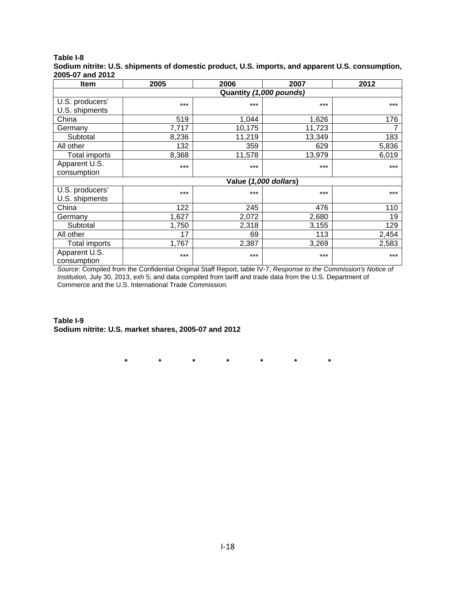### **Table I-8**

**Sodium nitrite: U.S. shipments of domestic product, U.S. imports, and apparent U.S. consumption, 2005-07 and 2012** 

| <b>Item</b>                  | 2005  | 2006   | 2007                  | 2012  |  |  |  |  |
|------------------------------|-------|--------|-----------------------|-------|--|--|--|--|
| Quantity (1,000 pounds)      |       |        |                       |       |  |  |  |  |
| U.S. producers'              | $***$ | ***    | $***$                 | ***   |  |  |  |  |
| U.S. shipments               |       |        |                       |       |  |  |  |  |
| China                        | 519   | 1,044  | 1,626                 | 176   |  |  |  |  |
| Germany                      | 7,717 | 10,175 | 11,723                |       |  |  |  |  |
| Subtotal                     | 8,236 | 11,219 | 13,349                | 183   |  |  |  |  |
| All other                    | 132   | 359    | 629                   | 5,836 |  |  |  |  |
| Total imports                | 8,368 | 11,578 | 13,979                | 6,019 |  |  |  |  |
| Apparent U.S.                | $***$ | $***$  | $***$                 | $***$ |  |  |  |  |
| consumption                  |       |        |                       |       |  |  |  |  |
|                              |       |        | Value (1,000 dollars) |       |  |  |  |  |
| U.S. producers'              | ***   | ***    | $***$                 | ***   |  |  |  |  |
| U.S. shipments               |       |        |                       |       |  |  |  |  |
| China                        | 122   | 245    | 476                   | 110   |  |  |  |  |
| Germany                      | 1,627 | 2,072  | 2,680                 | 19    |  |  |  |  |
| Subtotal                     | 1,750 | 2,318  | 3,155                 | 129   |  |  |  |  |
| All other                    | 17    | 69     | 113                   | 2,454 |  |  |  |  |
| <b>Total imports</b>         | 1,767 | 2,387  | 3,269                 | 2,583 |  |  |  |  |
| Apparent U.S.<br>consumption | $***$ | ***    | $***$                 | $***$ |  |  |  |  |

*Source*: Compiled from the Confidential Original Staff Report, table IV-7; *Response to the Commission's Notice of Institution,* July 30, 2013, exh 5; and data compiled from tariff and trade data from the U.S. Department of Commerce and the U.S. International Trade Commission.

**Table I-9 Sodium nitrite: U.S. market shares, 2005-07 and 2012** 

**\* \* \* \* \* \* \***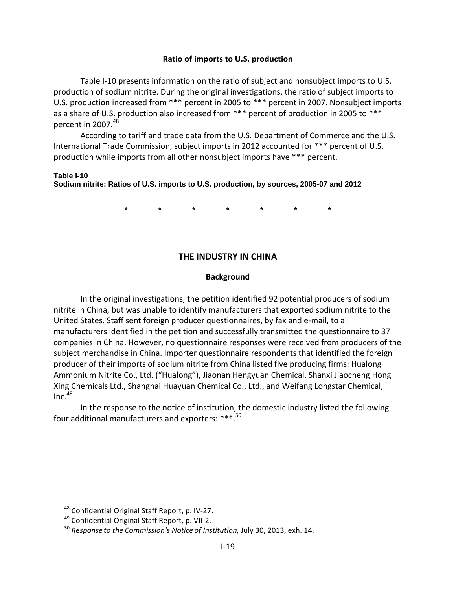#### **Ratio of imports to U.S. production**

Table I-10 presents information on the ratio of subject and nonsubject imports to U.S. production of sodium nitrite. During the original investigations, the ratio of subject imports to U.S. production increased from \*\*\* percent in 2005 to \*\*\* percent in 2007. Nonsubject imports as a share of U.S. production also increased from \*\*\* percent of production in 2005 to \*\*\* percent in 2007.<sup>48</sup>

According to tariff and trade data from the U.S. Department of Commerce and the U.S. International Trade Commission, subject imports in 2012 accounted for \*\*\* percent of U.S. production while imports from all other nonsubject imports have \*\*\* percent.

#### **Table I-10**

 $\overline{a}$ 

**Sodium nitrite: Ratios of U.S. imports to U.S. production, by sources, 2005-07 and 2012** 

**\* \* \* \* \* \* \*** 

#### **THE INDUSTRY IN CHINA**

#### **Background**

In the original investigations, the petition identified 92 potential producers of sodium nitrite in China, but was unable to identify manufacturers that exported sodium nitrite to the United States. Staff sent foreign producer questionnaires, by fax and e‐mail, to all manufacturers identified in the petition and successfully transmitted the questionnaire to 37 companies in China. However, no questionnaire responses were received from producers of the subject merchandise in China. Importer questionnaire respondents that identified the foreign producer of their imports of sodium nitrite from China listed five producing firms: Hualong Ammonium Nitrite Co., Ltd. ("Hualong"), Jiaonan Hengyuan Chemical, Shanxi Jiaocheng Hong Xing Chemicals Ltd., Shanghai Huayuan Chemical Co., Ltd., and Weifang Longstar Chemical,  $Inc.<sup>49</sup>$ 

In the response to the notice of institution, the domestic industry listed the following four additional manufacturers and exporters: \*\*\*.50

<sup>48</sup> Confidential Original Staff Report, p. IV‐27.

<sup>49</sup> Confidential Original Staff Report, p. VII‐2.

<sup>50</sup> *Response to the Commission's Notice of Institution,* July 30, 2013, exh. 14.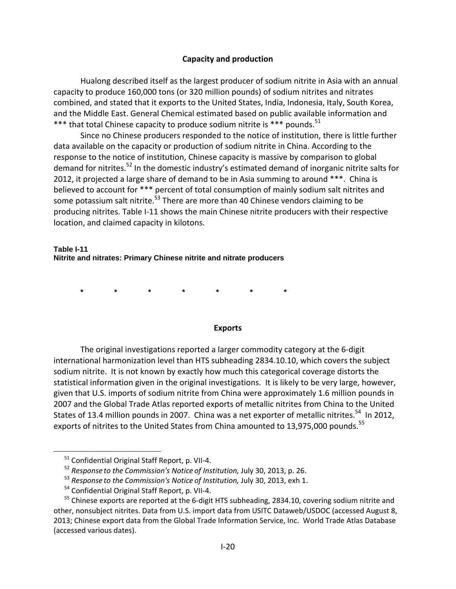### **Capacity and production**

Hualong described itself as the largest producer of sodium nitrite in Asia with an annual capacity to produce 160,000 tons (or 320 million pounds) of sodium nitrites and nitrates combined, and stated that it exports to the United States, India, Indonesia, Italy, South Korea, and the Middle East. General Chemical estimated based on public available information and \*\*\* that total Chinese capacity to produce sodium nitrite is \*\*\* pounds.<sup>51</sup>

Since no Chinese producers responded to the notice of institution, there is little further data available on the capacity or production of sodium nitrite in China. According to the response to the notice of institution, Chinese capacity is massive by comparison to global demand for nitrites.<sup>52</sup> In the domestic industry's estimated demand of inorganic nitrite salts for 2012, it projected a large share of demand to be in Asia summing to around \*\*\*. China is believed to account for \*\*\* percent of total consumption of mainly sodium salt nitrites and some potassium salt nitrite.<sup>53</sup> There are more than 40 Chinese vendors claiming to be producing nitrites. Table I-11 shows the main Chinese nitrite producers with their respective location, and claimed capacity in kilotons.

#### **Table I-11 Nitrite and nitrates: Primary Chinese nitrite and nitrate producers**

**\* \* \* \* \* \* \*** 

#### **Exports**

The original investigations reported a larger commodity category at the 6‐digit international harmonization level than HTS subheading 2834.10.10, which covers the subject sodium nitrite. It is not known by exactly how much this categorical coverage distorts the statistical information given in the original investigations. It is likely to be very large, however, given that U.S. imports of sodium nitrite from China were approximately 1.6 million pounds in 2007 and the Global Trade Atlas reported exports of metallic nitrites from China to the United States of 13.4 million pounds in 2007. China was a net exporter of metallic nitrites.<sup>54</sup> In 2012, exports of nitrites to the United States from China amounted to 13,975,000 pounds.<sup>55</sup>

 $\overline{a}$ 

<sup>51</sup> Confidential Original Staff Report, p. VII‐4.

<sup>52</sup> *Response to the Commission's Notice of Institution,* July 30, 2013, p. 26.

<sup>53</sup> *Response to the Commission's Notice of Institution,* July 30, 2013, exh 1.

<sup>54</sup> Confidential Original Staff Report, p. VII‐4.

 $55$  Chinese exports are reported at the 6-digit HTS subheading, 2834.10, covering sodium nitrite and other, nonsubject nitrites. Data from U.S. import data from USITC Dataweb/USDOC (accessed August 8, 2013; Chinese export data from the Global Trade Information Service, Inc. World Trade Atlas Database (accessed various dates).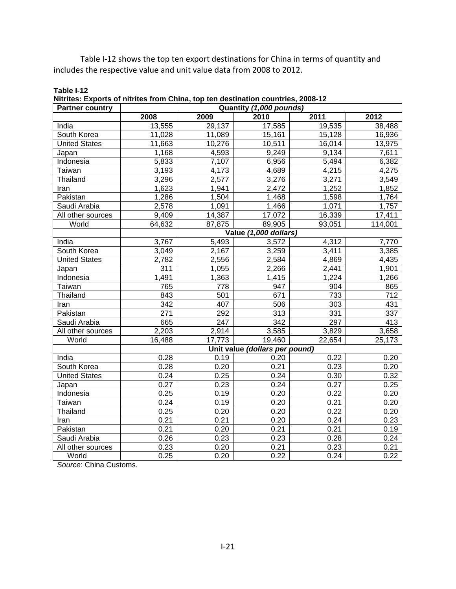Table I-12 shows the top ten export destinations for China in terms of quantity and includes the respective value and unit value data from 2008 to 2012.

| <b>Partner country</b> | Nitrites: Exports of nitrites from Unina, top ten destination countries, 2008-12<br>Quantity (1,000 pounds) |                  |                                |        |                  |  |
|------------------------|-------------------------------------------------------------------------------------------------------------|------------------|--------------------------------|--------|------------------|--|
|                        | 2008                                                                                                        | 2009             | 2010                           | 2011   | 2012             |  |
| India                  | 13,555                                                                                                      | 29,137           | 17,585                         | 19,535 | 38,488           |  |
| South Korea            | 11,028                                                                                                      | 11,089           | 15,161                         | 15,128 | 16,936           |  |
| <b>United States</b>   | 11,663                                                                                                      | 10,276           | 10,511                         | 16,014 | 13,975           |  |
| Japan                  | 1,168                                                                                                       | 4,593            | 9,249                          | 9,134  | 7,611            |  |
| Indonesia              | 5,833                                                                                                       | 7,107            | 6,956                          | 5,494  | 6,382            |  |
| Taiwan                 | 3,193                                                                                                       | 4,173            | 4,689                          | 4,215  | 4,275            |  |
| Thailand               | 3,296                                                                                                       | 2,577            | 3,276                          | 3,271  | 3,549            |  |
| Iran                   | 1,623                                                                                                       | 1,941            | 2,472                          | 1,252  | 1,852            |  |
| Pakistan               | 1,286                                                                                                       | 1,504            | 1,468                          | 1,598  | 1,764            |  |
| Saudi Arabia           | 2,578                                                                                                       | 1,091            | 1,466                          | 1,071  | 1,757            |  |
| All other sources      | 9,409                                                                                                       | 14,387           | 17,072                         | 16,339 | 17,411           |  |
| World                  | 64,632                                                                                                      | 87,875           | 89,905                         | 93,051 | 114,001          |  |
|                        |                                                                                                             |                  | Value (1,000 dollars)          |        |                  |  |
| India                  | 3,767                                                                                                       | 5,493            | 3,572                          | 4,312  | 7,770            |  |
| South Korea            | 3,049                                                                                                       | 2,167            | 3,259                          | 3,411  | 3,385            |  |
| <b>United States</b>   | 2,782                                                                                                       | 2,556            | 2,584                          | 4,869  | 4,435            |  |
| Japan                  | 311                                                                                                         | 1,055            | 2,266                          | 2,441  | 1,901            |  |
| Indonesia              | 1,491                                                                                                       | 1,363            | 1,415                          | 1,224  | 1,266            |  |
| Taiwan                 | 765                                                                                                         | $\overline{778}$ | 947                            | 904    | 865              |  |
| Thailand               | 843                                                                                                         | 501              | 671                            | 733    | $\overline{712}$ |  |
| Iran                   | 342                                                                                                         | 407              | 506                            | 303    | 431              |  |
| Pakistan               | 271                                                                                                         | 292              | 313                            | 331    | 337              |  |
| Saudi Arabia           | 665                                                                                                         | 247              | 342                            | 297    | 413              |  |
| All other sources      | 2,203                                                                                                       | 2,914            | 3,585                          | 3,829  | 3,658            |  |
| World                  | 16,488                                                                                                      | 17,773           | 19,460                         | 22,654 | 25,173           |  |
|                        |                                                                                                             |                  | Unit value (dollars per pound) |        |                  |  |
| India                  | 0.28                                                                                                        | 0.19             | 0.20                           | 0.22   | 0.20             |  |
| South Korea            | 0.28                                                                                                        | 0.20             | 0.21                           | 0.23   | 0.20             |  |
| <b>United States</b>   | 0.24                                                                                                        | 0.25             | 0.24                           | 0.30   | 0.32             |  |
| Japan                  | 0.27                                                                                                        | 0.23             | 0.24                           | 0.27   | 0.25             |  |
| Indonesia              | 0.25                                                                                                        | 0.19             | 0.20                           | 0.22   | 0.20             |  |
| Taiwan                 | 0.24                                                                                                        | 0.19             | 0.20                           | 0.21   | 0.20             |  |
| Thailand               | 0.25                                                                                                        | 0.20             | 0.20                           | 0.22   | 0.20             |  |
| Iran                   | 0.21                                                                                                        | 0.21             | 0.20                           | 0.24   | 0.23             |  |
| Pakistan               | 0.21                                                                                                        | 0.20             | 0.21                           | 0.21   | 0.19             |  |
| Saudi Arabia           | 0.26                                                                                                        | 0.23             | 0.23                           | 0.28   | 0.24             |  |
| All other sources      | 0.23                                                                                                        | 0.20             | 0.21                           | 0.23   | 0.21             |  |
| World                  | 0.25                                                                                                        | 0.20             | 0.22                           | 0.24   | 0.22             |  |

**Table I-12 Nitrites: Exports of nitrites from China, top ten destination countries, 2008-12** 

*Source*: China Customs.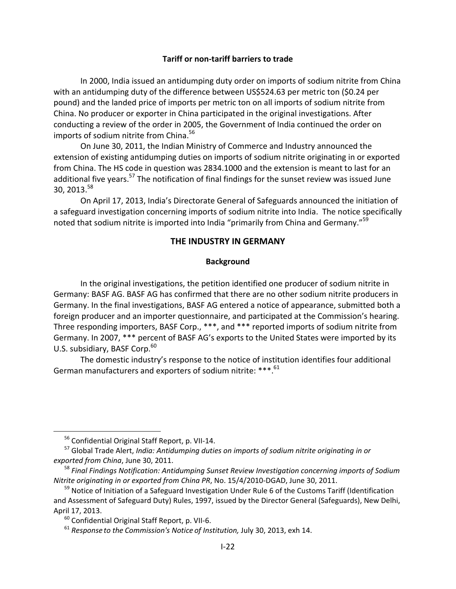#### **Tariff or non‐tariff barriers to trade**

In 2000, India issued an antidumping duty order on imports of sodium nitrite from China with an antidumping duty of the difference between US\$524.63 per metric ton (\$0.24 per pound) and the landed price of imports per metric ton on all imports of sodium nitrite from China. No producer or exporter in China participated in the original investigations. After conducting a review of the order in 2005, the Government of India continued the order on imports of sodium nitrite from China.<sup>56</sup>

On June 30, 2011, the Indian Ministry of Commerce and Industry announced the extension of existing antidumping duties on imports of sodium nitrite originating in or exported from China. The HS code in question was 2834.1000 and the extension is meant to last for an additional five years.<sup>57</sup> The notification of final findings for the sunset review was issued June 30, 2013.<sup>58</sup>

On April 17, 2013, India's Directorate General of Safeguards announced the initiation of a safeguard investigation concerning imports of sodium nitrite into India. The notice specifically noted that sodium nitrite is imported into India "primarily from China and Germany."<sup>59</sup>

## **THE INDUSTRY IN GERMANY**

### **Background**

In the original investigations, the petition identified one producer of sodium nitrite in Germany: BASF AG. BASF AG has confirmed that there are no other sodium nitrite producers in Germany. In the final investigations, BASF AG entered a notice of appearance, submitted both a foreign producer and an importer questionnaire, and participated at the Commission's hearing. Three responding importers, BASF Corp., \*\*\*, and \*\*\* reported imports of sodium nitrite from Germany. In 2007, \*\*\* percent of BASF AG's exports to the United States were imported by its U.S. subsidiary, BASF Corp.<sup>60</sup>

The domestic industry's response to the notice of institution identifies four additional German manufacturers and exporters of sodium nitrite: \*\*\*.61

<sup>56</sup> Confidential Original Staff Report, p. VII‐14.

<sup>57</sup> Global Trade Alert, *India: Antidumping duties on imports of sodium nitrite originating in or exported from China*, June 30, 2011.

<sup>58</sup> *Final Findings Notification: Antidumping Sunset Review Investigation concerning imports of Sodium Nitrite originating in or exported from China PR*, No. 15/4/2010‐DGAD, June 30, 2011.

<sup>&</sup>lt;sup>59</sup> Notice of Initiation of a Safeguard Investigation Under Rule 6 of the Customs Tariff (Identification and Assessment of Safeguard Duty) Rules, 1997, issued by the Director General (Safeguards), New Delhi, April 17, 2013.

<sup>60</sup> Confidential Original Staff Report, p. VII‐6.

<sup>61</sup> *Response to the Commission's Notice of Institution,* July 30, 2013, exh 14.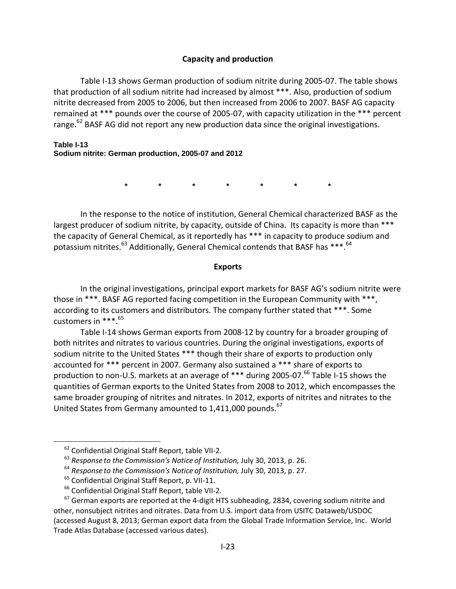### **Capacity and production**

Table I-13 shows German production of sodium nitrite during 2005-07. The table shows that production of all sodium nitrite had increased by almost \*\*\*. Also, production of sodium nitrite decreased from 2005 to 2006, but then increased from 2006 to 2007. BASF AG capacity remained at \*\*\* pounds over the course of 2005‐07, with capacity utilization in the \*\*\* percent range. $62$  BASF AG did not report any new production data since the original investigations.

### **Table I-13 Sodium nitrite: German production, 2005-07 and 2012**

**\* \* \* \* \* \* \*** 

In the response to the notice of institution, General Chemical characterized BASF as the largest producer of sodium nitrite, by capacity, outside of China. Its capacity is more than \*\*\* the capacity of General Chemical, as it reportedly has \*\*\* in capacity to produce sodium and potassium nitrites. $^{63}$  Additionally, General Chemical contends that BASF has \*\*\*. $^{64}$ 

#### **Exports**

In the original investigations, principal export markets for BASF AG's sodium nitrite were those in \*\*\*. BASF AG reported facing competition in the European Community with \*\*\*, according to its customers and distributors. The company further stated that \*\*\*. Some customers in  $***$ .<sup>65</sup>

Table I‐14 shows German exports from 2008‐12 by country for a broader grouping of both nitrites and nitrates to various countries. During the original investigations, exports of sodium nitrite to the United States \*\*\* though their share of exports to production only accounted for \*\*\* percent in 2007. Germany also sustained a \*\*\* share of exports to production to non-U.S. markets at an average of \*\*\* during 2005-07. $^{66}$  Table I-15 shows the quantities of German exports to the United States from 2008 to 2012, which encompasses the same broader grouping of nitrites and nitrates. In 2012, exports of nitrites and nitrates to the United States from Germany amounted to 1,411,000 pounds.<sup>67</sup>

<sup>62</sup> Confidential Original Staff Report, table VII‐2.

<sup>63</sup> *Response to the Commission's Notice of Institution,* July 30, 2013, p. 26.

<sup>64</sup> *Response to the Commission's Notice of Institution,* July 30, 2013, p. 27.

<sup>65</sup> Confidential Original Staff Report, p. VII‐11.

<sup>&</sup>lt;sup>66</sup> Confidential Original Staff Report, table VII-2.

 $67$  German exports are reported at the 4-digit HTS subheading, 2834, covering sodium nitrite and other, nonsubject nitrites and nitrates. Data from U.S. import data from USITC Dataweb/USDOC (accessed August 8, 2013; German export data from the Global Trade Information Service, Inc. World Trade Atlas Database (accessed various dates).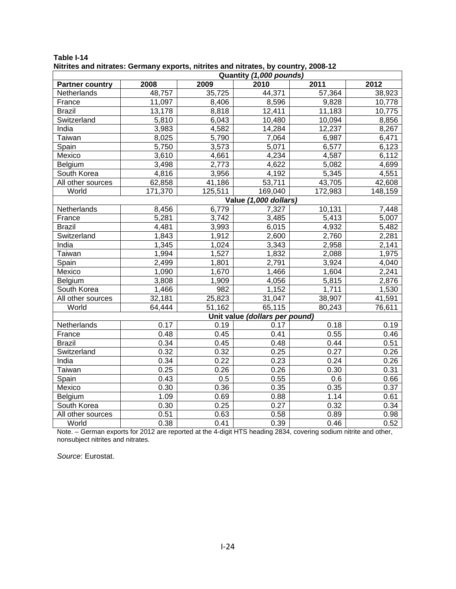| Quantity (1,000 pounds) |         |         |                                |         |         |
|-------------------------|---------|---------|--------------------------------|---------|---------|
| <b>Partner country</b>  | 2008    | 2009    | 2010                           | 2011    | 2012    |
| Netherlands             | 48,757  | 35,725  | 44,371                         | 57,364  | 38,923  |
| France                  | 11,097  | 8,406   | 8,596                          | 9,828   | 10,778  |
| <b>Brazil</b>           | 13,178  | 8,818   | 12,411                         | 11,183  | 10,775  |
| Switzerland             | 5,810   | 6,043   | 10,480                         | 10,094  | 8,856   |
| India                   | 3,983   | 4,582   | 14,284                         | 12,237  | 8,267   |
| Taiwan                  | 8,025   | 5,790   | 7,064                          | 6,987   | 6,471   |
| Spain                   | 5,750   | 3,573   | 5,071                          | 6,577   | 6,123   |
| Mexico                  | 3,610   | 4,661   | 4,234                          | 4,587   | 6,112   |
| Belgium                 | 3,498   | 2,773   | 4,622                          | 5,082   | 4,699   |
| South Korea             | 4,816   | 3,956   | 4,192                          | 5,345   | 4,551   |
| All other sources       | 62,858  | 41,186  | 53,711                         | 43,705  | 42,608  |
| World                   | 171,370 | 125,511 | 169,040                        | 172,983 | 148,159 |
|                         |         |         | Value (1,000 dollars)          |         |         |
| Netherlands             | 8,456   | 6,779   | 7,327                          | 10,131  | 7,448   |
| France                  | 5,281   | 3,742   | 3,485                          | 5,413   | 5,007   |
| <b>Brazil</b>           | 4,481   | 3,993   | 6,015                          | 4,932   | 5,482   |
| Switzerland             | 1,843   | 1,912   | 2,600                          | 2,760   | 2,281   |
| India                   | 1,345   | 1,024   | 3,343                          | 2,958   | 2,141   |
| Taiwan                  | 1,994   | 1,527   | 1,832                          | 2,088   | 1,975   |
| Spain                   | 2,499   | 1,801   | 2,791                          | 3,924   | 4,040   |
| Mexico                  | 1,090   | 1,670   | 1,466                          | 1,604   | 2,241   |
| Belgium                 | 3,808   | 1,909   | 4,056                          | 5,815   | 2,876   |
| South Korea             | 1,466   | 982     | 1,152                          | 1,711   | 1,530   |
| All other sources       | 32,181  | 25,823  | 31,047                         | 38,907  | 41,591  |
| World                   | 64,444  | 51,162  | 65,115                         | 80,243  | 76,611  |
|                         |         |         | Unit value (dollars per pound) |         |         |
| Netherlands             | 0.17    | 0.19    | 0.17                           | 0.18    | 0.19    |
| France                  | 0.48    | 0.45    | 0.41                           | 0.55    | 0.46    |
| <b>Brazil</b>           | 0.34    | 0.45    | 0.48                           | 0.44    | 0.51    |
| Switzerland             | 0.32    | 0.32    | 0.25                           | 0.27    | 0.26    |
| India                   | 0.34    | 0.22    | 0.23                           | 0.24    | 0.26    |
| <b>Taiwan</b>           | 0.25    | 0.26    | 0.26                           | 0.30    | 0.31    |
| Spain                   | 0.43    | 0.5     | 0.55                           | 0.6     | 0.66    |
| Mexico                  | 0.30    | 0.36    | 0.35                           | 0.35    | 0.37    |
| Belgium                 | 1.09    | 0.69    | 0.88                           | 1.14    | 0.61    |
| South Korea             | 0.30    | 0.25    | 0.27                           | 0.32    | 0.34    |
| All other sources       | 0.51    | 0.63    | 0.58                           | 0.89    | 0.98    |
| World                   | 0.38    | 0.41    | 0.39                           | 0.46    | 0.52    |

**Table I-14 Nitrites and nitrates: Germany exports, nitrites and nitrates, by country, 2008-12** 

Note. – German exports for 2012 are reported at the 4-digit HTS heading 2834, covering sodium nitrite and other, nonsubject nitrites and nitrates.

*Source*: Eurostat.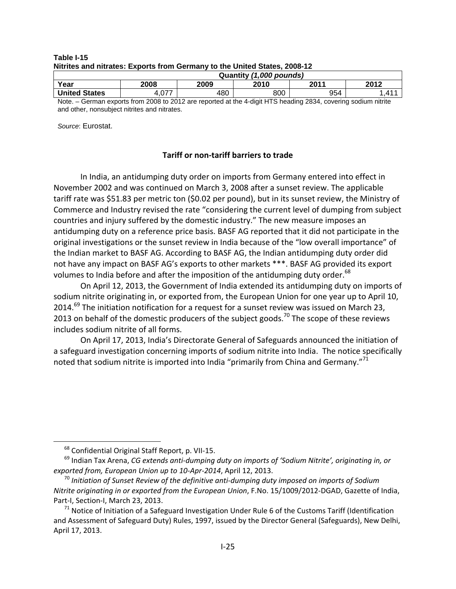| Nitrites and nitrates: Exports from Germany to the United States. 2008-12. |      |      |      |      |      |  |
|----------------------------------------------------------------------------|------|------|------|------|------|--|
| Quantity (1,000 pounds)                                                    |      |      |      |      |      |  |
| Year                                                                       | 2008 | 2009 | 2010 | 2011 | 2012 |  |
|                                                                            |      |      |      |      |      |  |

**Table I-15 Nitrites and nitrates: Exports from Germany to the United States, 2008-12** 

**United States 4,077 | 480 | 800 | 954 | 1,411** Note. – German exports from 2008 to 2012 are reported at the 4-digit HTS heading 2834, covering sodium nitrite and other, nonsubject nitrites and nitrates.

*Source*: Eurostat.

#### **Tariff or non‐tariff barriers to trade**

In India, an antidumping duty order on imports from Germany entered into effect in November 2002 and was continued on March 3, 2008 after a sunset review. The applicable tariff rate was \$51.83 per metric ton (\$0.02 per pound), but in its sunset review, the Ministry of Commerce and Industry revised the rate "considering the current level of dumping from subject countries and injury suffered by the domestic industry." The new measure imposes an antidumping duty on a reference price basis. BASF AG reported that it did not participate in the original investigations or the sunset review in India because of the "low overall importance" of the Indian market to BASF AG. According to BASF AG, the Indian antidumping duty order did not have any impact on BASF AG's exports to other markets \*\*\*. BASF AG provided its export volumes to India before and after the imposition of the antidumping duty order.<sup>68</sup>

On April 12, 2013, the Government of India extended its antidumping duty on imports of sodium nitrite originating in, or exported from, the European Union for one year up to April 10, 2014.<sup>69</sup> The initiation notification for a request for a sunset review was issued on March 23, 2013 on behalf of the domestic producers of the subject goods.<sup>70</sup> The scope of these reviews includes sodium nitrite of all forms.

On April 17, 2013, India's Directorate General of Safeguards announced the initiation of a safeguard investigation concerning imports of sodium nitrite into India. The notice specifically noted that sodium nitrite is imported into India "primarily from China and Germany."<sup>71</sup>

<sup>68</sup> Confidential Original Staff Report, p. VII‐15.

<sup>69</sup> Indian Tax Arena, *CG extends anti‐dumping duty on imports of 'Sodium Nitrite', originating in, or exported from, European Union up to 10‐Apr‐2014*, April 12, 2013.

<sup>70</sup> *Initiation of Sunset Review of the definitive anti‐dumping duty imposed on imports of Sodium Nitrite originating in or exported from the European Union*, F.No. 15/1009/2012‐DGAD, Gazette of India, Part‐I, Section‐I, March 23, 2013.

 $71$  Notice of Initiation of a Safeguard Investigation Under Rule 6 of the Customs Tariff (Identification and Assessment of Safeguard Duty) Rules, 1997, issued by the Director General (Safeguards), New Delhi, April 17, 2013.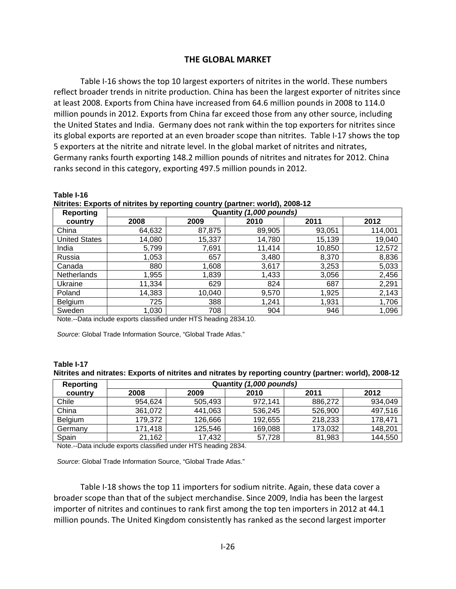## **THE GLOBAL MARKET**

Table I-16 shows the top 10 largest exporters of nitrites in the world. These numbers reflect broader trends in nitrite production. China has been the largest exporter of nitrites since at least 2008. Exports from China have increased from 64.6 million pounds in 2008 to 114.0 million pounds in 2012. Exports from China far exceed those from any other source, including the United States and India. Germany does not rank within the top exporters for nitrites since its global exports are reported at an even broader scope than nitrites. Table I‐17 shows the top 5 exporters at the nitrite and nitrate level. In the global market of nitrites and nitrates, Germany ranks fourth exporting 148.2 million pounds of nitrites and nitrates for 2012. China ranks second in this category, exporting 497.5 million pounds in 2012.

| <b>Reporting</b>     |        | Quantity (1,000 pounds) |        |        |         |  |  |  |
|----------------------|--------|-------------------------|--------|--------|---------|--|--|--|
| country              | 2008   | 2009                    | 2010   | 2011   | 2012    |  |  |  |
| China                | 64,632 | 87,875                  | 89,905 | 93,051 | 114,001 |  |  |  |
| <b>United States</b> | 14,080 | 15,337                  | 14,780 | 15,139 | 19,040  |  |  |  |
| India                | 5,799  | 7,691                   | 11,414 | 10,850 | 12,572  |  |  |  |
| Russia               | 1,053  | 657                     | 3,480  | 8,370  | 8,836   |  |  |  |
| Canada               | 880    | 1,608                   | 3,617  | 3,253  | 5,033   |  |  |  |
| <b>Netherlands</b>   | 1,955  | 1,839                   | 1,433  | 3,056  | 2,456   |  |  |  |
| Ukraine              | 11,334 | 629                     | 824    | 687    | 2,291   |  |  |  |
| Poland               | 14,383 | 10,040                  | 9,570  | 1,925  | 2,143   |  |  |  |
| Belgium              | 725    | 388                     | 1,241  | 1,931  | 1,706   |  |  |  |
| Sweden               | 1,030  | 708                     | 904    | 946    | 1,096   |  |  |  |

**Nitrites: Exports of nitrites by reporting country (partner: world), 2008-12** 

Note.--Data include exports classified under HTS heading 2834.10.

*Source*: Global Trade Information Source, "Global Trade Atlas."

**Table I-16** 

| Table I-17                                                                                             |  |  |
|--------------------------------------------------------------------------------------------------------|--|--|
| Nitrites and nitrates: Exports of nitrites and nitrates by reporting country (partner: world), 2008-12 |  |  |

| Reporting | Quantity (1,000 pounds) |         |         |         |         |
|-----------|-------------------------|---------|---------|---------|---------|
| country   | 2008                    | 2009    | 2010    | 2011    | 2012    |
| Chile     | 954.624                 | 505.493 | 972.141 | 886,272 | 934,049 |
| China     | 361.072                 | 441,063 | 536,245 | 526,900 | 497,516 |
| Belgium   | 179.372                 | 126,666 | 192,655 | 218,233 | 178,471 |
| Germany   | 171,418                 | 125,546 | 169,088 | 173,032 | 148,201 |
| Spain     | 21,162                  | 17,432  | 57,728  | 81,983  | 144,550 |

Note.--Data include exports classified under HTS heading 2834.

*Source*: Global Trade Information Source, "Global Trade Atlas."

Table I-18 shows the top 11 importers for sodium nitrite. Again, these data cover a broader scope than that of the subject merchandise. Since 2009, India has been the largest importer of nitrites and continues to rank first among the top ten importers in 2012 at 44.1 million pounds. The United Kingdom consistently has ranked as the second largest importer